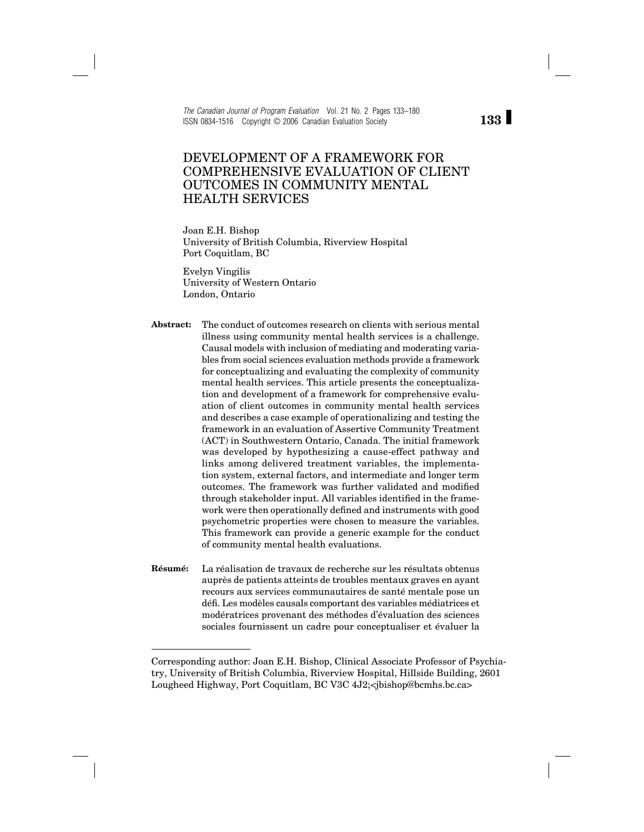*The Canadian Journal of Program Evaluation* Vol. 21 No. 2 Pages 133–180 ISSN 0834-1516 Copyright © 2006 Canadian Evaluation Society

## DEVELOPMENT OF A FRAMEWORK FOR COMPREHENSIVE EVALUATION OF CLIENT OUTCOMES IN COMMUNITY MENTAL HEALTH SERVICES

Joan E.H. Bishop University of British Columbia, Riverview Hospital Port Coquitlam, BC

Evelyn Vingilis University of Western Ontario London, Ontario

**Abstract:** The conduct of outcomes research on clients with serious mental illness using community mental health services is a challenge. Causal models with inclusion of mediating and moderating variables from social sciences evaluation methods provide a framework for conceptualizing and evaluating the complexity of community mental health services. This article presents the conceptualization and development of a framework for comprehensive evaluation of client outcomes in community mental health services and describes a case example of operationalizing and testing the framework in an evaluation of Assertive Community Treatment (ACT) in Southwestern Ontario, Canada. The initial framework was developed by hypothesizing a cause-effect pathway and links among delivered treatment variables, the implementation system, external factors, and intermediate and longer term outcomes. The framework was further validated and modified through stakeholder input. All variables identified in the framework were then operationally defined and instruments with good psychometric properties were chosen to measure the variables. This framework can provide a generic example for the conduct of community mental health evaluations.

**Résumé:** La réalisation de travaux de recherche sur les résultats obtenus auprès de patients atteints de troubles mentaux graves en ayant recours aux services communautaires de santé mentale pose un défi . Les modèles causals comportant des variables médiatrices et modératrices provenant des méthodes d'évaluation des sciences sociales fournissent un cadre pour conceptualiser et évaluer la

Corresponding author: Joan E.H. Bishop, Clinical Associate Professor of Psychiatry, University of British Columbia, Riverview Hospital, Hillside Building, 2601 Lougheed Highway, Port Coquitlam, BC V3C 4J2;<ibishop@bcmhs.bc.ca>

# **133**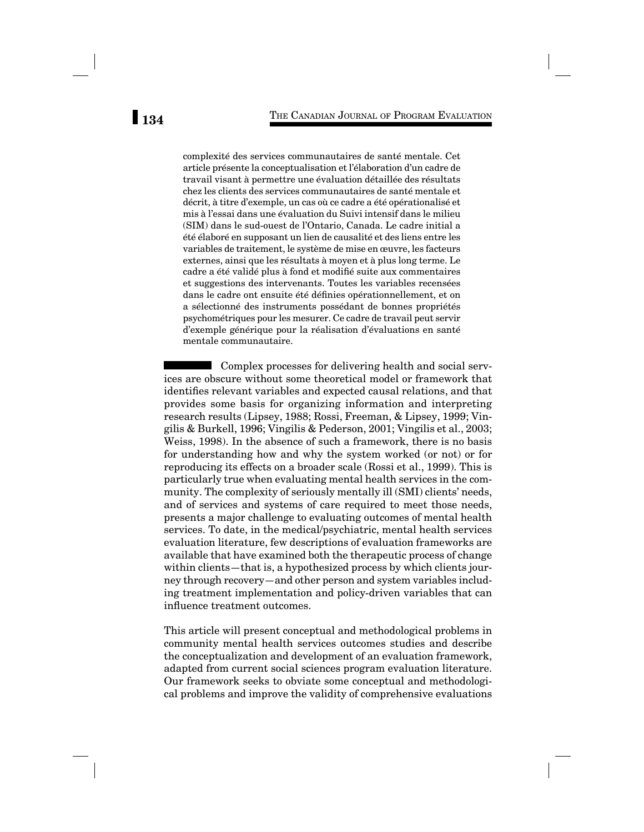complexité des services communautaires de santé mentale. Cet article présente la conceptualisation et l'élaboration d'un cadre de travail visant à permettre une évaluation détaillée des résultats chez les clients des services communautaires de santé mentale et décrit, à titre d'exemple, un cas où ce cadre a été opérationalisé et mis à l'essai dans une évaluation du Suivi intensif dans le milieu (SIM) dans le sud-ouest de l'Ontario, Canada. Le cadre initial a été élaboré en supposant un lien de causalité et des liens entre les variables de traitement, le système de mise en œuvre, les facteurs externes, ainsi que les résultats à moyen et à plus long terme. Le cadre a été validé plus à fond et modifié suite aux commentaires et suggestions des intervenants. Toutes les variables recensées dans le cadre ont ensuite été définies opérationnellement, et on a sélectionné des instruments possédant de bonnes propriétés psychométriques pour les mesurer. Ce cadre de travail peut servir d'exemple générique pour la réalisation d'évaluations en santé mentale communautaire.

Complex processes for delivering health and social services are obscure without some theoretical model or framework that identifies relevant variables and expected causal relations, and that provides some basis for organizing information and interpreting research results (Lipsey, 1988; Rossi, Freeman, & Lipsey, 1999; Vingilis & Burkell, 1996; Vingilis & Pederson, 2001; Vingilis et al., 2003; Weiss, 1998). In the absence of such a framework, there is no basis for understanding how and why the system worked (or not) or for reproducing its effects on a broader scale (Rossi et al., 1999). This is particularly true when evaluating mental health services in the community. The complexity of seriously mentally ill (SMI) clients' needs, and of services and systems of care required to meet those needs, presents a major challenge to evaluating outcomes of mental health services. To date, in the medical/psychiatric, mental health services evaluation literature, few descriptions of evaluation frameworks are available that have examined both the therapeutic process of change within clients—that is, a hypothesized process by which clients journey through recovery—and other person and system variables including treatment implementation and policy-driven variables that can influence treatment outcomes.

This article will present conceptual and methodological problems in community mental health services outcomes studies and describe the conceptualization and development of an evaluation framework, adapted from current social sciences program evaluation literature. Our framework seeks to obviate some conceptual and methodological problems and improve the validity of comprehensive evaluations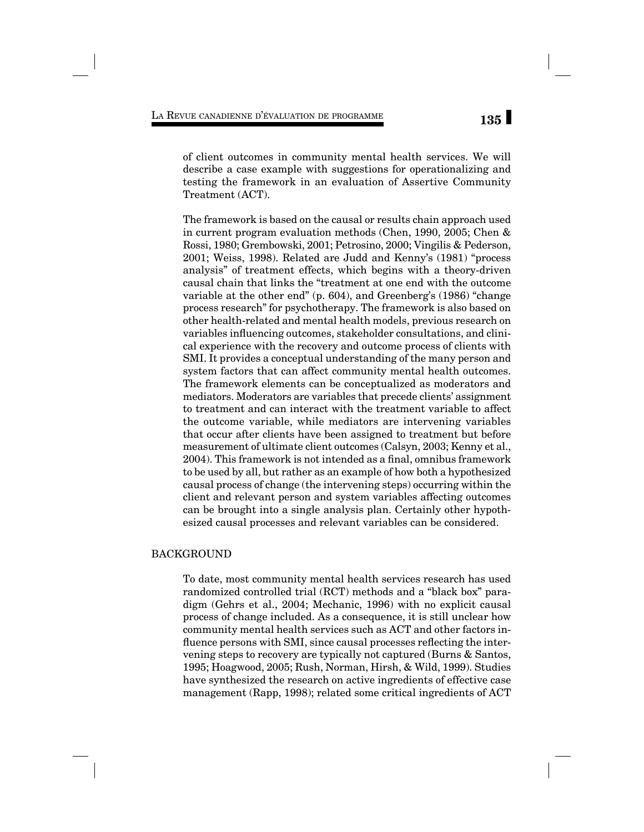of client outcomes in community mental health services. We will describe a case example with suggestions for operationalizing and testing the framework in an evaluation of Assertive Community Treatment (ACT).

The framework is based on the causal or results chain approach used in current program evaluation methods (Chen, 1990, 2005; Chen & Rossi, 1980; Grembowski, 2001; Petrosino, 2000; Vingilis & Pederson, 2001; Weiss, 1998). Related are Judd and Kenny's (1981) "process analysis" of treatment effects, which begins with a theory-driven causal chain that links the "treatment at one end with the outcome variable at the other end" (p. 604), and Greenberg's (1986) "change process research" for psychotherapy. The framework is also based on other health-related and mental health models, previous research on variables influencing outcomes, stakeholder consultations, and clinical experience with the recovery and outcome process of clients with SMI. It provides a conceptual understanding of the many person and system factors that can affect community mental health outcomes. The framework elements can be conceptualized as moderators and mediators. Moderators are variables that precede clients' assignment to treatment and can interact with the treatment variable to affect the outcome variable, while mediators are intervening variables that occur after clients have been assigned to treatment but before measurement of ultimate client outcomes (Calsyn, 2003; Kenny et al., 2004). This framework is not intended as a final, omnibus framework to be used by all, but rather as an example of how both a hypothesized causal process of change (the intervening steps) occurring within the client and relevant person and system variables affecting outcomes can be brought into a single analysis plan. Certainly other hypothesized causal processes and relevant variables can be considered.

## BACKGROUND

To date, most community mental health services research has used randomized controlled trial (RCT) methods and a "black box" paradigm (Gehrs et al., 2004; Mechanic, 1996) with no explicit causal process of change included. As a consequence, it is still unclear how community mental health services such as ACT and other factors influence persons with SMI, since causal processes reflecting the intervening steps to recovery are typically not captured (Burns & Santos, 1995; Hoagwood, 2005; Rush, Norman, Hirsh, & Wild, 1999). Studies have synthesized the research on active ingredients of effective case management (Rapp, 1998); related some critical ingredients of ACT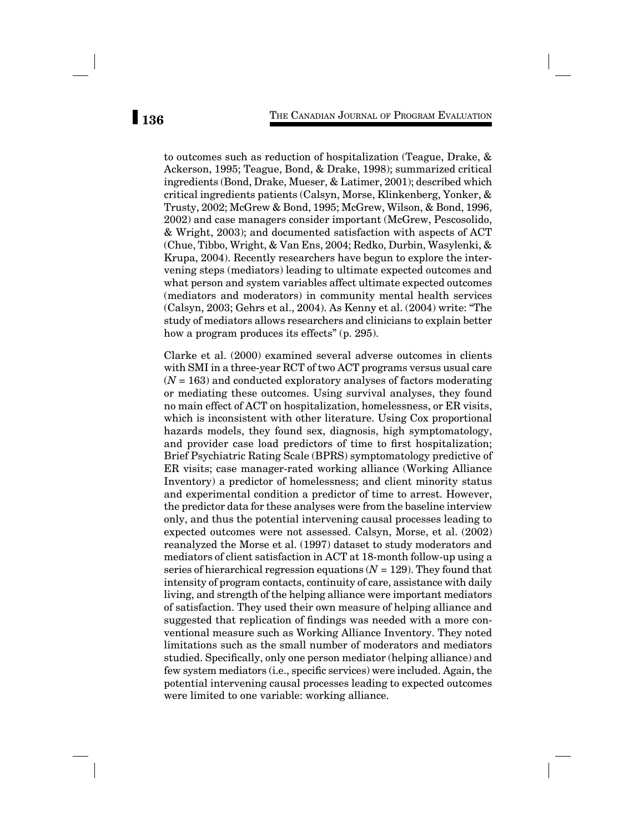to outcomes such as reduction of hospitalization (Teague, Drake, & Ackerson, 1995; Teague, Bond, & Drake, 1998); summarized critical ingredients (Bond, Drake, Mueser, & Latimer, 2001); described which critical ingredients patients (Calsyn, Morse, Klinkenberg, Yonker, & Trusty, 2002; McGrew & Bond, 1995; McGrew, Wilson, & Bond, 1996, 2002) and case managers consider important (McGrew, Pescosolido, & Wright, 2003); and documented satisfaction with aspects of ACT (Chue, Tibbo, Wright, & Van Ens, 2004; Redko, Durbin, Wasylenki, & Krupa, 2004). Recently researchers have begun to explore the intervening steps (mediators) leading to ultimate expected outcomes and what person and system variables affect ultimate expected outcomes (mediators and moderators) in community mental health services (Calsyn, 2003; Gehrs et al., 2004). As Kenny et al. (2004) write: "The study of mediators allows researchers and clinicians to explain better how a program produces its effects" (p. 295).

Clarke et al. (2000) examined several adverse outcomes in clients with SMI in a three-year RCT of two ACT programs versus usual care (*N* = 163) and conducted exploratory analyses of factors moderating or mediating these outcomes. Using survival analyses, they found no main effect of ACT on hospitalization, homelessness, or ER visits, which is inconsistent with other literature. Using Cox proportional hazards models, they found sex, diagnosis, high symptomatology, and provider case load predictors of time to first hospitalization; Brief Psychiatric Rating Scale (BPRS) symptomatology predictive of ER visits; case manager-rated working alliance (Working Alliance Inventory) a predictor of homelessness; and client minority status and experimental condition a predictor of time to arrest. However, the predictor data for these analyses were from the baseline interview only, and thus the potential intervening causal processes leading to expected outcomes were not assessed. Calsyn, Morse, et al. (2002) reanalyzed the Morse et al. (1997) dataset to study moderators and mediators of client satisfaction in ACT at 18-month follow-up using a series of hierarchical regression equations (*N* = 129). They found that intensity of program contacts, continuity of care, assistance with daily living, and strength of the helping alliance were important mediators of satisfaction. They used their own measure of helping alliance and suggested that replication of findings was needed with a more conventional measure such as Working Alliance Inventory. They noted limitations such as the small number of moderators and mediators studied. Specifically, only one person mediator (helping alliance) and few system mediators (i.e., specific services) were included. Again, the potential intervening causal processes leading to expected outcomes were limited to one variable: working alliance.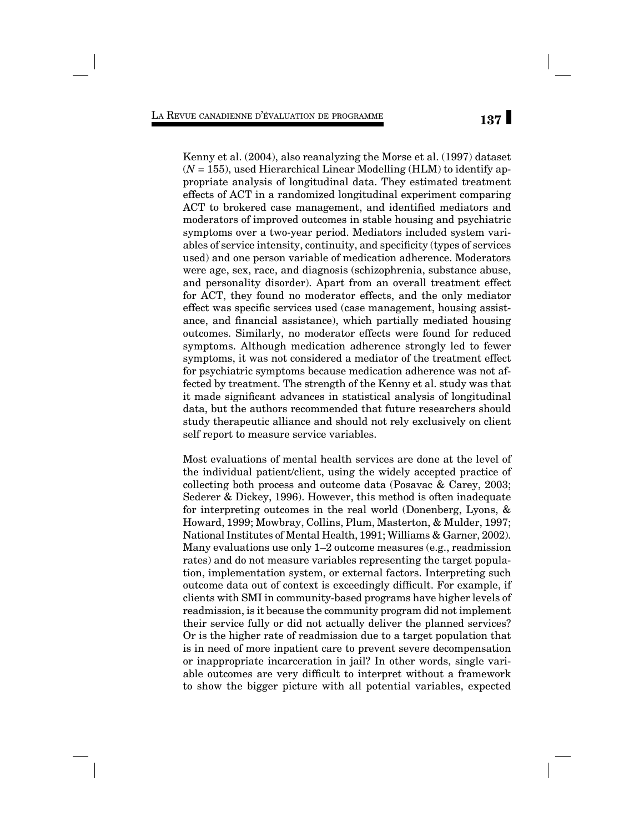Kenny et al. (2004), also reanalyzing the Morse et al. (1997) dataset  $(N = 155)$ , used Hierarchical Linear Modelling (HLM) to identify appropriate analysis of longitudinal data. They estimated treatment effects of ACT in a randomized longitudinal experiment comparing ACT to brokered case management, and identified mediators and moderators of improved outcomes in stable housing and psychiatric symptoms over a two-year period. Mediators included system variables of service intensity, continuity, and specificity (types of services used) and one person variable of medication adherence. Moderators were age, sex, race, and diagnosis (schizophrenia, substance abuse, and personality disorder). Apart from an overall treatment effect for ACT, they found no moderator effects, and the only mediator effect was specific services used (case management, housing assistance, and financial assistance), which partially mediated housing outcomes. Similarly, no moderator effects were found for reduced symptoms. Although medication adherence strongly led to fewer symptoms, it was not considered a mediator of the treatment effect for psychiatric symptoms because medication adherence was not affected by treatment. The strength of the Kenny et al. study was that it made significant advances in statistical analysis of longitudinal data, but the authors recommended that future researchers should study therapeutic alliance and should not rely exclusively on client self report to measure service variables.

Most evaluations of mental health services are done at the level of the individual patient/client, using the widely accepted practice of collecting both process and outcome data (Posavac & Carey, 2003; Sederer & Dickey, 1996). However, this method is often inadequate for interpreting outcomes in the real world (Donenberg, Lyons, & Howard, 1999; Mowbray, Collins, Plum, Masterton, & Mulder, 1997; National Institutes of Mental Health, 1991; Williams & Garner, 2002). Many evaluations use only 1–2 outcome measures (e.g., readmission rates) and do not measure variables representing the target population, implementation system, or external factors. Interpreting such outcome data out of context is exceedingly difficult. For example, if clients with SMI in community-based programs have higher levels of readmission, is it because the community program did not implement their service fully or did not actually deliver the planned services? Or is the higher rate of readmission due to a target population that is in need of more inpatient care to prevent severe decompensation or inappropriate incarceration in jail? In other words, single variable outcomes are very difficult to interpret without a framework to show the bigger picture with all potential variables, expected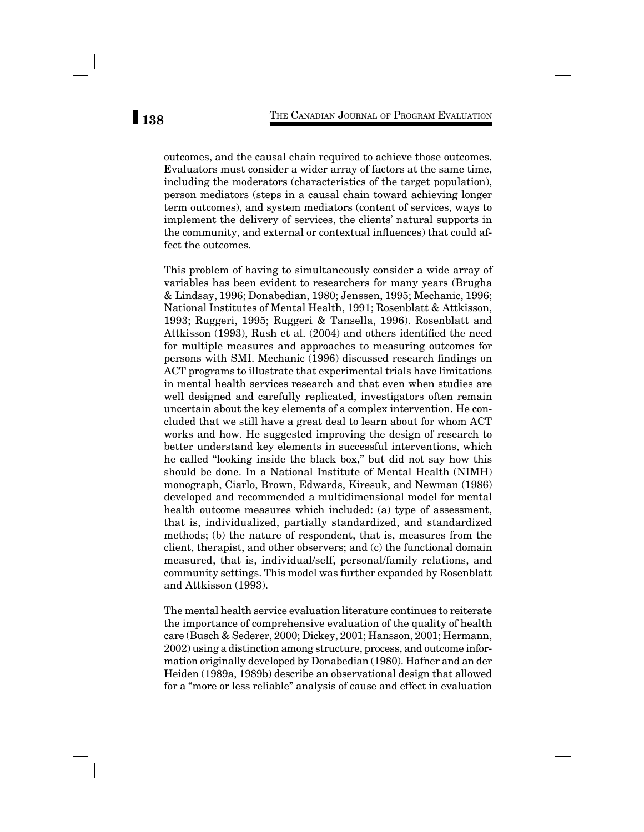outcomes, and the causal chain required to achieve those outcomes. Evaluators must consider a wider array of factors at the same time, including the moderators (characteristics of the target population), person mediators (steps in a causal chain toward achieving longer term outcomes), and system mediators (content of services, ways to implement the delivery of services, the clients' natural supports in the community, and external or contextual influences) that could affect the outcomes.

This problem of having to simultaneously consider a wide array of variables has been evident to researchers for many years (Brugha & Lindsay, 1996; Donabedian, 1980; Jenssen, 1995; Mechanic, 1996; National Institutes of Mental Health, 1991; Rosenblatt & Attkisson, 1993; Ruggeri, 1995; Ruggeri & Tansella, 1996). Rosenblatt and Attkisson (1993), Rush et al. (2004) and others identified the need for multiple measures and approaches to measuring outcomes for persons with SMI. Mechanic (1996) discussed research findings on ACT programs to illustrate that experimental trials have limitations in mental health services research and that even when studies are well designed and carefully replicated, investigators often remain uncertain about the key elements of a complex intervention. He concluded that we still have a great deal to learn about for whom ACT works and how. He suggested improving the design of research to better understand key elements in successful interventions, which he called "looking inside the black box," but did not say how this should be done. In a National Institute of Mental Health (NIMH) monograph, Ciarlo, Brown, Edwards, Kiresuk, and Newman (1986) developed and recommended a multidimensional model for mental health outcome measures which included: (a) type of assessment, that is, individualized, partially standardized, and standardized methods; (b) the nature of respondent, that is, measures from the client, therapist, and other observers; and (c) the functional domain measured, that is, individual/self, personal/family relations, and community settings. This model was further expanded by Rosenblatt and Attkisson (1993).

The mental health service evaluation literature continues to reiterate the importance of comprehensive evaluation of the quality of health care (Busch & Sederer, 2000; Dickey, 2001; Hansson, 2001; Hermann, 2002) using a distinction among structure, process, and outcome information originally developed by Donabedian (1980). Hafner and an der Heiden (1989a, 1989b) describe an observational design that allowed for a "more or less reliable" analysis of cause and effect in evaluation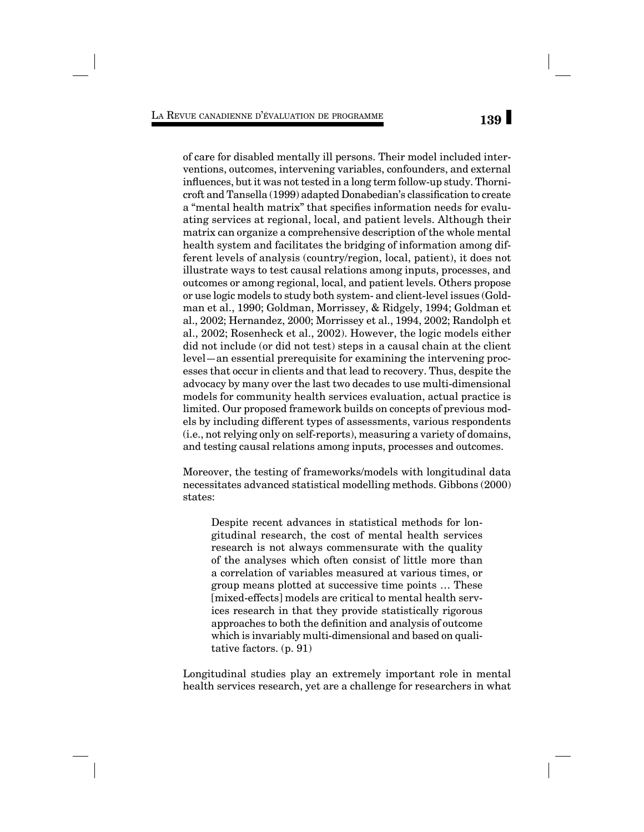of care for disabled mentally ill persons. Their model included interventions, outcomes, intervening variables, confounders, and external influences, but it was not tested in a long term follow-up study. Thornicroft and Tansella (1999) adapted Donabedian's classification to create a "mental health matrix" that specifies information needs for evaluating services at regional, local, and patient levels. Although their matrix can organize a comprehensive description of the whole mental health system and facilitates the bridging of information among different levels of analysis (country/region, local, patient), it does not illustrate ways to test causal relations among inputs, processes, and outcomes or among regional, local, and patient levels. Others propose or use logic models to study both system- and client-level issues (Goldman et al., 1990; Goldman, Morrissey, & Ridgely, 1994; Goldman et al., 2002; Hernandez, 2000; Morrissey et al., 1994, 2002; Randolph et al., 2002; Rosenheck et al., 2002). However, the logic models either did not include (or did not test) steps in a causal chain at the client level—an essential prerequisite for examining the intervening processes that occur in clients and that lead to recovery. Thus, despite the advocacy by many over the last two decades to use multi-dimensional models for community health services evaluation, actual practice is limited. Our proposed framework builds on concepts of previous models by including different types of assessments, various respondents (i.e., not relying only on self-reports), measuring a variety of domains, and testing causal relations among inputs, processes and outcomes.

Moreover, the testing of frameworks/models with longitudinal data necessitates advanced statistical modelling methods. Gibbons (2000) states:

Despite recent advances in statistical methods for longitudinal research, the cost of mental health services research is not always commensurate with the quality of the analyses which often consist of little more than a correlation of variables measured at various times, or group means plotted at successive time points … These [mixed-effects] models are critical to mental health services research in that they provide statistically rigorous approaches to both the definition and analysis of outcome which is invariably multi-dimensional and based on qualitative factors. (p. 91)

Longitudinal studies play an extremely important role in mental health services research, yet are a challenge for researchers in what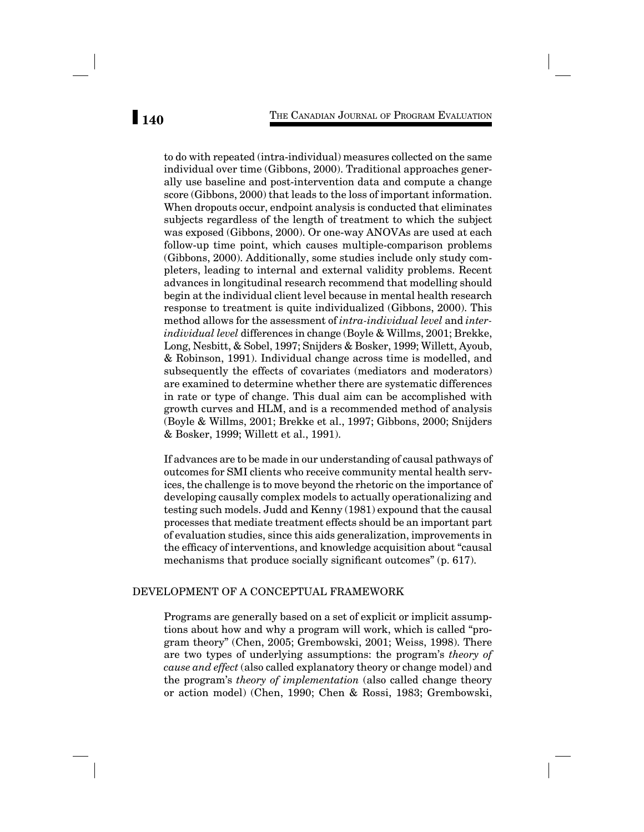to do with repeated (intra-individual) measures collected on the same individual over time (Gibbons, 2000). Traditional approaches generally use baseline and post-intervention data and compute a change score (Gibbons, 2000) that leads to the loss of important information. When dropouts occur, endpoint analysis is conducted that eliminates subjects regardless of the length of treatment to which the subject was exposed (Gibbons, 2000). Or one-way ANOVAs are used at each follow-up time point, which causes multiple-comparison problems (Gibbons, 2000). Additionally, some studies include only study completers, leading to internal and external validity problems. Recent advances in longitudinal research recommend that modelling should begin at the individual client level because in mental health research response to treatment is quite individualized (Gibbons, 2000). This method allows for the assessment of *intra-individual level* and *interindividual level* differences in change (Boyle & Willms, 2001; Brekke, Long, Nesbitt, & Sobel, 1997; Snijders & Bosker, 1999; Willett, Ayoub, & Robinson, 1991). Individual change across time is modelled, and subsequently the effects of covariates (mediators and moderators) are examined to determine whether there are systematic differences in rate or type of change. This dual aim can be accomplished with growth curves and HLM, and is a recommended method of analysis (Boyle & Willms, 2001; Brekke et al., 1997; Gibbons, 2000; Snijders & Bosker, 1999; Willett et al., 1991).

If advances are to be made in our understanding of causal pathways of outcomes for SMI clients who receive community mental health services, the challenge is to move beyond the rhetoric on the importance of developing causally complex models to actually operationalizing and testing such models. Judd and Kenny (1981) expound that the causal processes that mediate treatment effects should be an important part of evaluation studies, since this aids generalization, improvements in the efficacy of interventions, and knowledge acquisition about "causal" mechanisms that produce socially significant outcomes" (p. 617).

## DEVELOPMENT OF A CONCEPTUAL FRAMEWORK

Programs are generally based on a set of explicit or implicit assumptions about how and why a program will work, which is called "program theory" (Chen, 2005; Grembowski, 2001; Weiss, 1998). There are two types of underlying assumptions: the program's *theory of cause and effect* (also called explanatory theory or change model) and the program's *theory of implementation* (also called change theory or action model) (Chen, 1990; Chen & Rossi, 1983; Grembowski,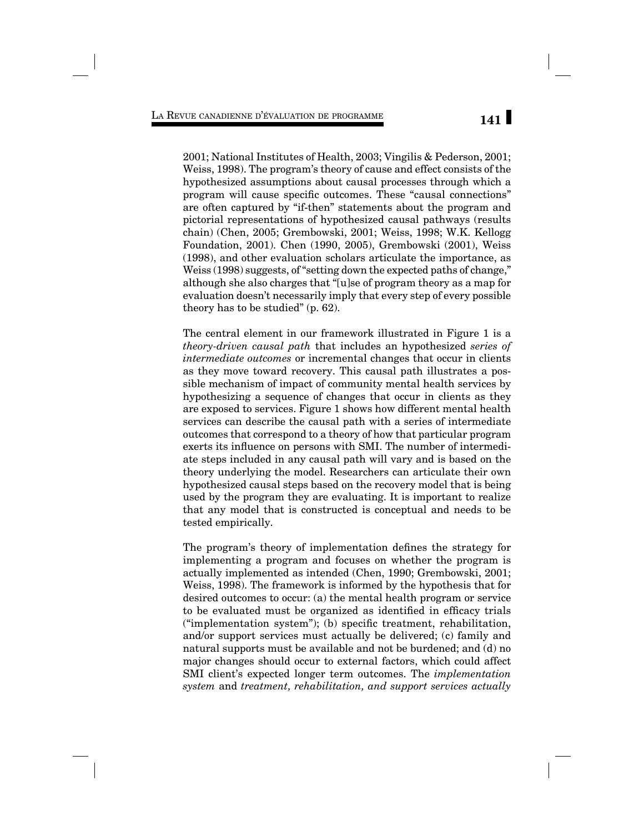2001; National Institutes of Health, 2003; Vingilis & Pederson, 2001; Weiss, 1998). The program's theory of cause and effect consists of the hypothesized assumptions about causal processes through which a program will cause specific outcomes. These "causal connections" are often captured by "if-then" statements about the program and pictorial representations of hypothesized causal pathways (results chain) (Chen, 2005; Grembowski, 2001; Weiss, 1998; W.K. Kellogg Foundation, 2001). Chen (1990, 2005), Grembowski (2001), Weiss (1998), and other evaluation scholars articulate the importance, as Weiss (1998) suggests, of "setting down the expected paths of change," although she also charges that "[u]se of program theory as a map for evaluation doesn't necessarily imply that every step of every possible theory has to be studied" (p. 62).

The central element in our framework illustrated in Figure 1 is a *theory-driven causal path* that includes an hypothesized *series of intermediate outcomes* or incremental changes that occur in clients as they move toward recovery. This causal path illustrates a possible mechanism of impact of community mental health services by hypothesizing a sequence of changes that occur in clients as they are exposed to services. Figure 1 shows how different mental health services can describe the causal path with a series of intermediate outcomes that correspond to a theory of how that particular program exerts its influence on persons with SMI. The number of intermediate steps included in any causal path will vary and is based on the theory underlying the model. Researchers can articulate their own hypothesized causal steps based on the recovery model that is being used by the program they are evaluating. It is important to realize that any model that is constructed is conceptual and needs to be tested empirically.

The program's theory of implementation defines the strategy for implementing a program and focuses on whether the program is actually implemented as intended (Chen, 1990; Grembowski, 2001; Weiss, 1998). The framework is informed by the hypothesis that for desired outcomes to occur: (a) the mental health program or service to be evaluated must be organized as identified in efficacy trials  $("implementation system")$ ; (b) specific treatment, rehabilitation, and/or support services must actually be delivered; (c) family and natural supports must be available and not be burdened; and (d) no major changes should occur to external factors, which could affect SMI client's expected longer term outcomes. The *implementation system* and *treatment, rehabilitation, and support services actually*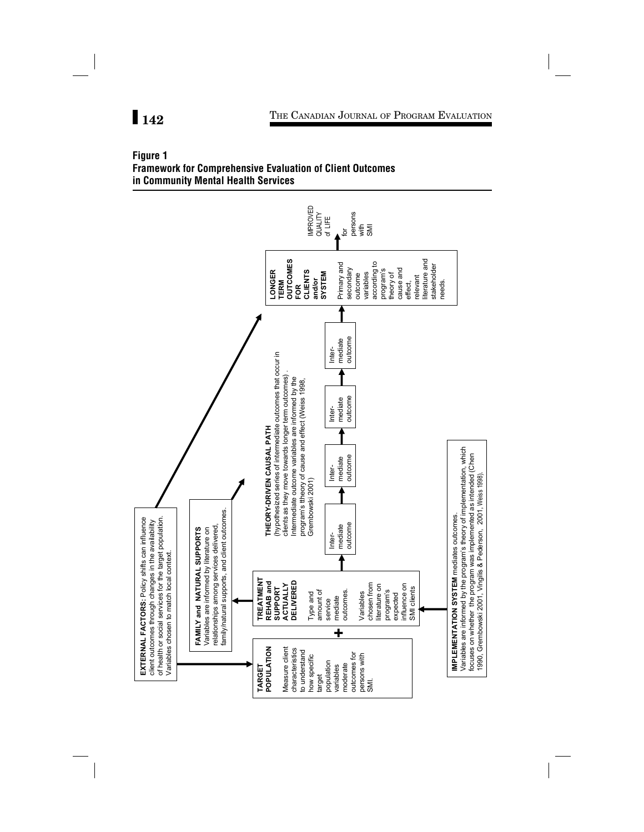## **Figure 1 Framework for Comprehensive Evaluation of Client Outcomes in Community Mental Health Services**

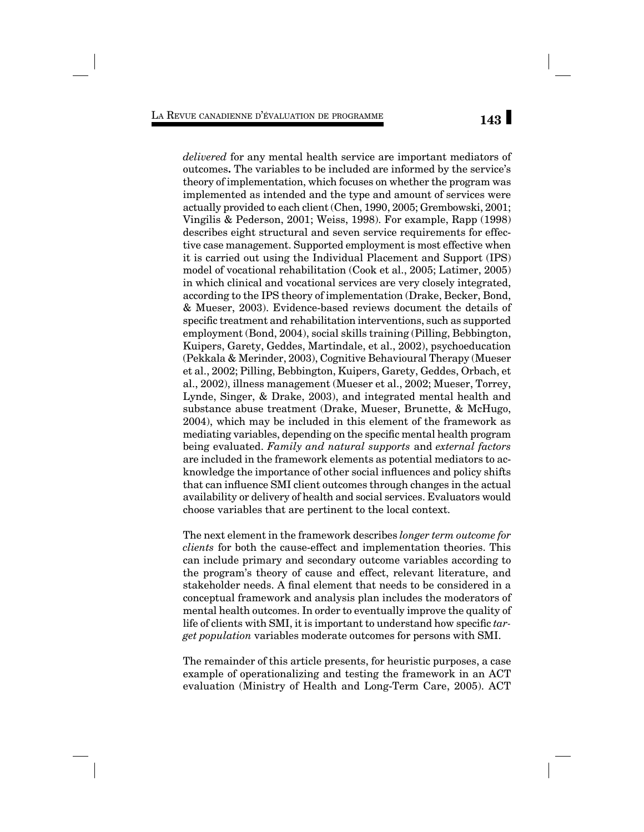*delivered* for any mental health service are important mediators of outcomes*.* The variables to be included are informed by the service's theory of implementation, which focuses on whether the program was implemented as intended and the type and amount of services were actually provided to each client (Chen, 1990, 2005; Grembowski, 2001; Vingilis & Pederson, 2001; Weiss, 1998). For example, Rapp (1998) describes eight structural and seven service requirements for effective case management. Supported employment is most effective when it is carried out using the Individual Placement and Support (IPS) model of vocational rehabilitation (Cook et al., 2005; Latimer, 2005) in which clinical and vocational services are very closely integrated, according to the IPS theory of implementation (Drake, Becker, Bond, & Mueser, 2003). Evidence-based reviews document the details of specific treatment and rehabilitation interventions, such as supported employment (Bond, 2004), social skills training (Pilling, Bebbington, Kuipers, Garety, Geddes, Martindale, et al., 2002), psychoeducation (Pekkala & Merinder, 2003), Cognitive Behavioural Therapy (Mueser et al., 2002; Pilling, Bebbington, Kuipers, Garety, Geddes, Orbach, et al., 2002), illness management (Mueser et al., 2002; Mueser, Torrey, Lynde, Singer, & Drake, 2003), and integrated mental health and substance abuse treatment (Drake, Mueser, Brunette, & McHugo, 2004), which may be included in this element of the framework as mediating variables, depending on the specific mental health program being evaluated. *Family and natural supports* and *external factors* are included in the framework elements as potential mediators to acknowledge the importance of other social influences and policy shifts that can influence SMI client outcomes through changes in the actual availability or delivery of health and social services. Evaluators would choose variables that are pertinent to the local context.

The next element in the framework describes *longer term outcome for clients* for both the cause-effect and implementation theories. This can include primary and secondary outcome variables according to the program's theory of cause and effect, relevant literature, and stakeholder needs. A final element that needs to be considered in a conceptual framework and analysis plan includes the moderators of mental health outcomes. In order to eventually improve the quality of life of clients with SMI, it is important to understand how specific *target population* variables moderate outcomes for persons with SMI.

The remainder of this article presents, for heuristic purposes, a case example of operationalizing and testing the framework in an ACT evaluation (Ministry of Health and Long-Term Care, 2005). ACT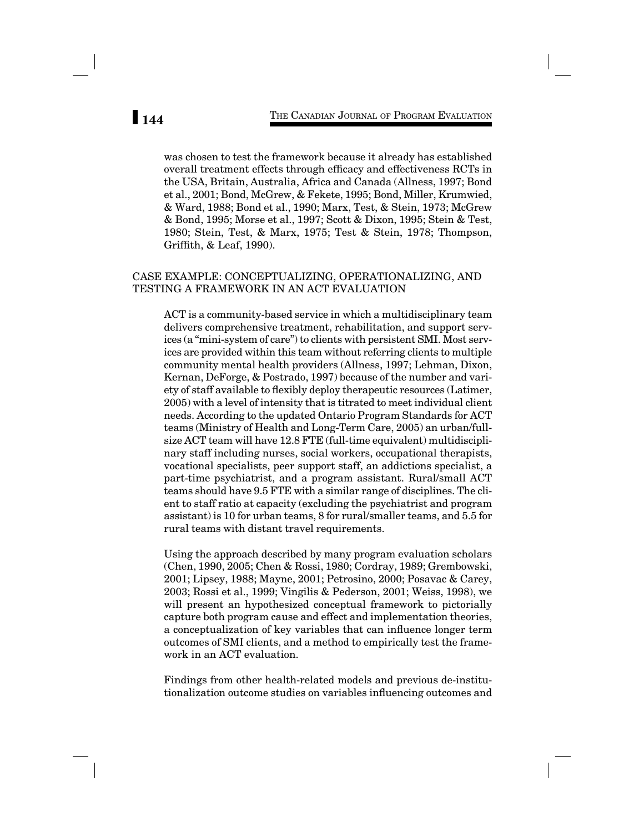was chosen to test the framework because it already has established overall treatment effects through efficacy and effectiveness RCTs in the USA, Britain, Australia, Africa and Canada (Allness, 1997; Bond et al., 2001; Bond, McGrew, & Fekete, 1995; Bond, Miller, Krumwied, & Ward, 1988; Bond et al., 1990; Marx, Test, & Stein, 1973; McGrew & Bond, 1995; Morse et al., 1997; Scott & Dixon, 1995; Stein & Test, 1980; Stein, Test, & Marx, 1975; Test & Stein, 1978; Thompson, Griffith,  $&$  Leaf, 1990).

## CASE EXAMPLE: CONCEPTUALIZING, OPERATIONALIZING, AND TESTING A FRAMEWORK IN AN ACT EVALUATION

ACT is a community-based service in which a multidisciplinary team delivers comprehensive treatment, rehabilitation, and support services (a "mini-system of care") to clients with persistent SMI. Most services are provided within this team without referring clients to multiple community mental health providers (Allness, 1997; Lehman, Dixon, Kernan, DeForge, & Postrado, 1997) because of the number and variety of staff available to flexibly deploy therapeutic resources (Latimer, 2005) with a level of intensity that is titrated to meet individual client needs. According to the updated Ontario Program Standards for ACT teams (Ministry of Health and Long-Term Care, 2005) an urban/fullsize ACT team will have 12.8 FTE (full-time equivalent) multidisciplinary staff including nurses, social workers, occupational therapists, vocational specialists, peer support staff, an addictions specialist, a part-time psychiatrist, and a program assistant. Rural/small ACT teams should have 9.5 FTE with a similar range of disciplines. The client to staff ratio at capacity (excluding the psychiatrist and program assistant) is 10 for urban teams, 8 for rural/smaller teams, and 5.5 for rural teams with distant travel requirements.

Using the approach described by many program evaluation scholars (Chen, 1990, 2005; Chen & Rossi, 1980; Cordray, 1989; Grembowski, 2001; Lipsey, 1988; Mayne, 2001; Petrosino, 2000; Posavac & Carey, 2003; Rossi et al., 1999; Vingilis & Pederson, 2001; Weiss, 1998), we will present an hypothesized conceptual framework to pictorially capture both program cause and effect and implementation theories, a conceptualization of key variables that can influence longer term outcomes of SMI clients, and a method to empirically test the framework in an ACT evaluation.

Findings from other health-related models and previous de-institutionalization outcome studies on variables influencing outcomes and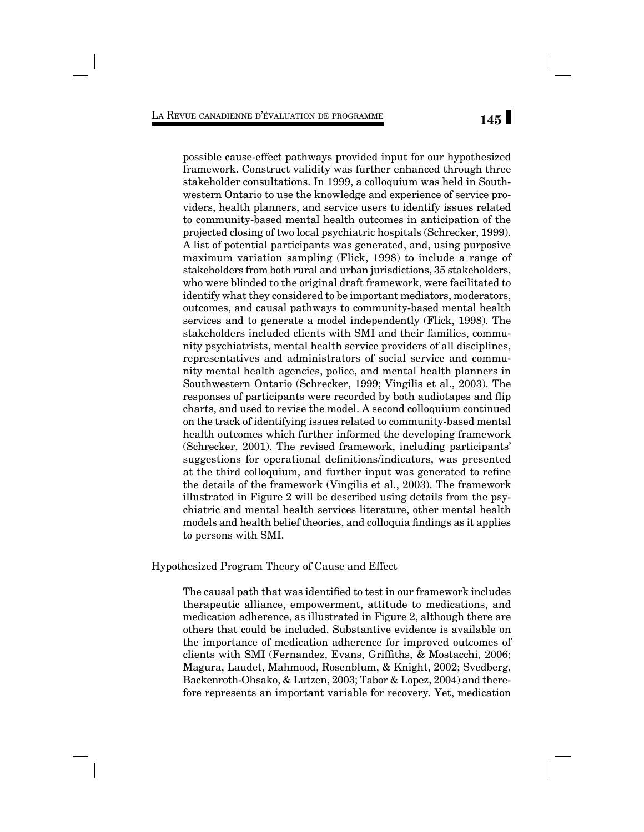possible cause-effect pathways provided input for our hypothesized framework. Construct validity was further enhanced through three stakeholder consultations. In 1999, a colloquium was held in Southwestern Ontario to use the knowledge and experience of service providers, health planners, and service users to identify issues related to community-based mental health outcomes in anticipation of the projected closing of two local psychiatric hospitals (Schrecker, 1999). A list of potential participants was generated, and, using purposive maximum variation sampling (Flick, 1998) to include a range of stakeholders from both rural and urban jurisdictions, 35 stakeholders, who were blinded to the original draft framework, were facilitated to identify what they considered to be important mediators, moderators, outcomes, and causal pathways to community-based mental health services and to generate a model independently (Flick, 1998). The stakeholders included clients with SMI and their families, community psychiatrists, mental health service providers of all disciplines, representatives and administrators of social service and community mental health agencies, police, and mental health planners in Southwestern Ontario (Schrecker, 1999; Vingilis et al., 2003). The responses of participants were recorded by both audiotapes and flip charts, and used to revise the model. A second colloquium continued on the track of identifying issues related to community-based mental health outcomes which further informed the developing framework (Schrecker, 2001). The revised framework, including participants' suggestions for operational definitions/indicators, was presented at the third colloquium, and further input was generated to refine the details of the framework (Vingilis et al., 2003). The framework illustrated in Figure 2 will be described using details from the psychiatric and mental health services literature, other mental health models and health belief theories, and colloquia findings as it applies to persons with SMI.

Hypothesized Program Theory of Cause and Effect

The causal path that was identified to test in our framework includes therapeutic alliance, empowerment, attitude to medications, and medication adherence, as illustrated in Figure 2, although there are others that could be included. Substantive evidence is available on the importance of medication adherence for improved outcomes of clients with SMI (Fernandez, Evans, Griffiths, & Mostacchi, 2006; Magura, Laudet, Mahmood, Rosenblum, & Knight, 2002; Svedberg, Backenroth-Ohsako, & Lutzen, 2003; Tabor & Lopez, 2004) and therefore represents an important variable for recovery. Yet, medication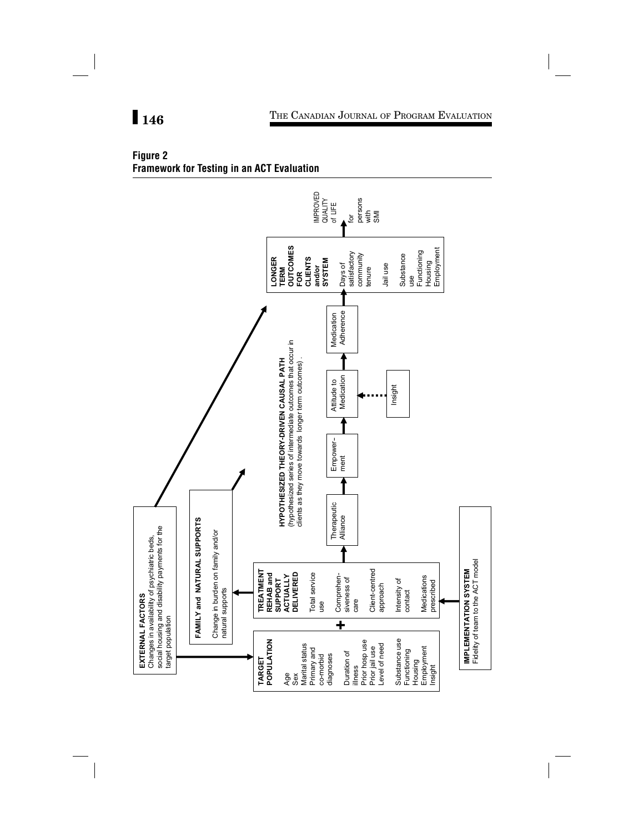## **Figure 2 Framework for Testing in an ACT Evaluation**

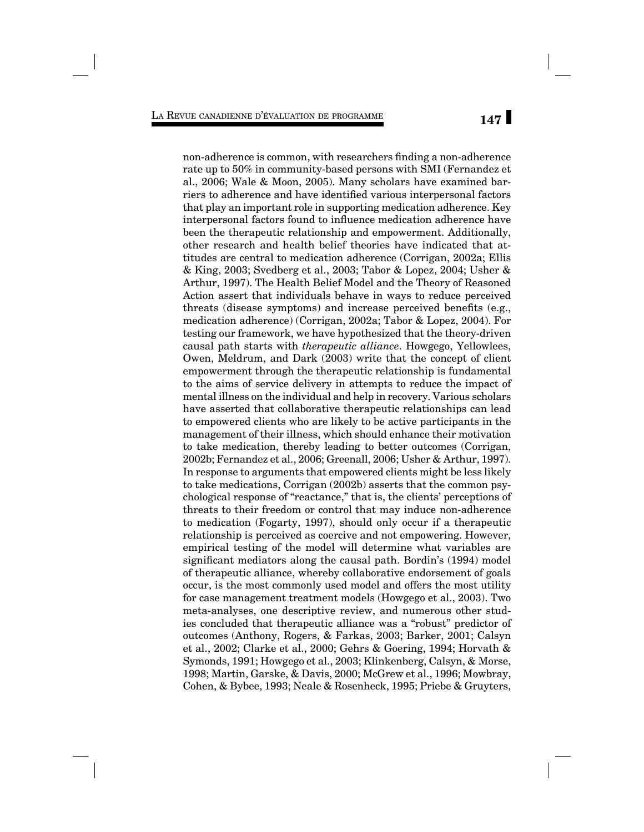non-adherence is common, with researchers finding a non-adherence rate up to 50% in community-based persons with SMI (Fernandez et al., 2006; Wale & Moon, 2005). Many scholars have examined barriers to adherence and have identified various interpersonal factors that play an important role in supporting medication adherence. Key interpersonal factors found to influence medication adherence have been the therapeutic relationship and empowerment. Additionally, other research and health belief theories have indicated that attitudes are central to medication adherence (Corrigan, 2002a; Ellis & King, 2003; Svedberg et al., 2003; Tabor & Lopez, 2004; Usher & Arthur, 1997). The Health Belief Model and the Theory of Reasoned Action assert that individuals behave in ways to reduce perceived threats (disease symptoms) and increase perceived benefits  $(e.g.,)$ medication adherence) (Corrigan, 2002a; Tabor & Lopez, 2004). For testing our framework, we have hypothesized that the theory-driven causal path starts with *therapeutic alliance*. Howgego, Yellowlees, Owen, Meldrum, and Dark (2003) write that the concept of client empowerment through the therapeutic relationship is fundamental to the aims of service delivery in attempts to reduce the impact of mental illness on the individual and help in recovery. Various scholars have asserted that collaborative therapeutic relationships can lead to empowered clients who are likely to be active participants in the management of their illness, which should enhance their motivation to take medication, thereby leading to better outcomes (Corrigan, 2002b; Fernandez et al., 2006; Greenall, 2006; Usher & Arthur, 1997). In response to arguments that empowered clients might be less likely to take medications, Corrigan (2002b) asserts that the common psychological response of "reactance," that is, the clients' perceptions of threats to their freedom or control that may induce non-adherence to medication (Fogarty, 1997), should only occur if a therapeutic relationship is perceived as coercive and not empowering. However, empirical testing of the model will determine what variables are significant mediators along the causal path. Bordin's (1994) model of therapeutic alliance, whereby collaborative endorsement of goals occur, is the most commonly used model and offers the most utility for case management treatment models (Howgego et al., 2003). Two meta-analyses, one descriptive review, and numerous other studies concluded that therapeutic alliance was a "robust" predictor of outcomes (Anthony, Rogers, & Farkas, 2003; Barker, 2001; Calsyn et al., 2002; Clarke et al., 2000; Gehrs & Goering, 1994; Horvath & Symonds, 1991; Howgego et al., 2003; Klinkenberg, Calsyn, & Morse, 1998; Martin, Garske, & Davis, 2000; McGrew et al., 1996; Mowbray, Cohen, & Bybee, 1993; Neale & Rosenheck, 1995; Priebe & Gruyters,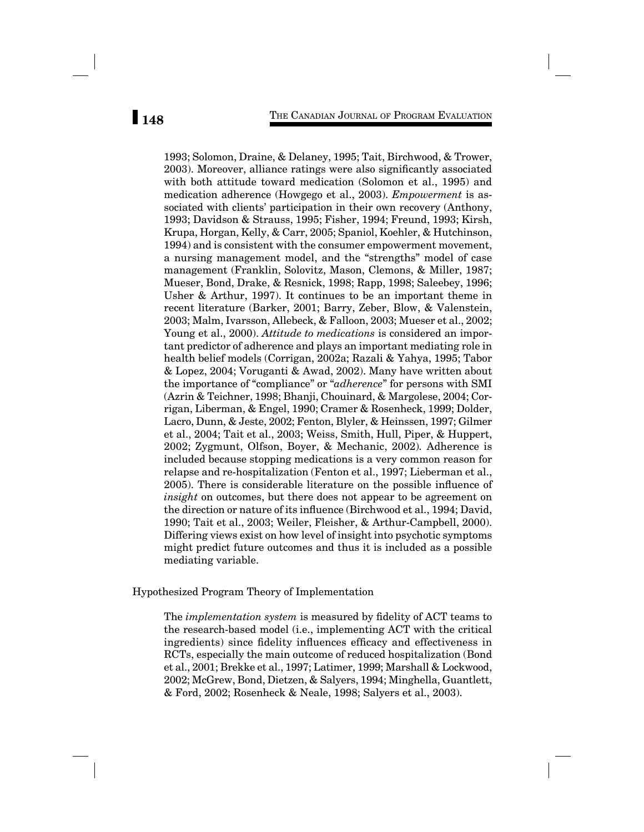1993; Solomon, Draine, & Delaney, 1995; Tait, Birchwood, & Trower, 2003). Moreover, alliance ratings were also significantly associated with both attitude toward medication (Solomon et al., 1995) and medication adherence (Howgego et al., 2003). *Empowerment* is associated with clients' participation in their own recovery (Anthony, 1993; Davidson & Strauss, 1995; Fisher, 1994; Freund, 1993; Kirsh, Krupa, Horgan, Kelly, & Carr, 2005; Spaniol, Koehler, & Hutchinson, 1994) and is consistent with the consumer empowerment movement, a nursing management model, and the "strengths" model of case management (Franklin, Solovitz, Mason, Clemons, & Miller, 1987; Mueser, Bond, Drake, & Resnick, 1998; Rapp, 1998; Saleebey, 1996; Usher & Arthur, 1997). It continues to be an important theme in recent literature (Barker, 2001; Barry, Zeber, Blow, & Valenstein, 2003; Malm, Ivarsson, Allebeck, & Falloon, 2003; Mueser et al., 2002; Young et al., 2000). *Attitude to medications* is considered an important predictor of adherence and plays an important mediating role in health belief models (Corrigan, 2002a; Razali & Yahya, 1995; Tabor & Lopez, 2004; Voruganti & Awad, 2002). Many have written about the importance of "compliance" or "*adherence*" for persons with SMI (Azrin & Teichner, 1998; Bhanji, Chouinard, & Margolese, 2004; Corrigan, Liberman, & Engel, 1990; Cramer & Rosenheck, 1999; Dolder, Lacro, Dunn, & Jeste, 2002; Fenton, Blyler, & Heinssen, 1997; Gilmer et al., 2004; Tait et al., 2003; Weiss, Smith, Hull, Piper, & Huppert, 2002; Zygmunt, Olfson, Boyer, & Mechanic, 2002)*.* Adherence is included because stopping medications is a very common reason for relapse and re-hospitalization (Fenton et al., 1997; Lieberman et al., 2005). There is considerable literature on the possible influence of *insight* on outcomes, but there does not appear to be agreement on the direction or nature of its influence (Birchwood et al., 1994; David, 1990; Tait et al., 2003; Weiler, Fleisher, & Arthur-Campbell, 2000). Differing views exist on how level of insight into psychotic symptoms might predict future outcomes and thus it is included as a possible mediating variable.

Hypothesized Program Theory of Implementation

The *implementation system* is measured by fidelity of ACT teams to the research-based model (i.e., implementing ACT with the critical ingredients) since fidelity influences efficacy and effectiveness in RCTs, especially the main outcome of reduced hospitalization (Bond et al., 2001; Brekke et al., 1997; Latimer, 1999; Marshall & Lockwood, 2002; McGrew, Bond, Dietzen, & Salyers, 1994; Minghella, Guantlett, & Ford, 2002; Rosenheck & Neale, 1998; Salyers et al., 2003).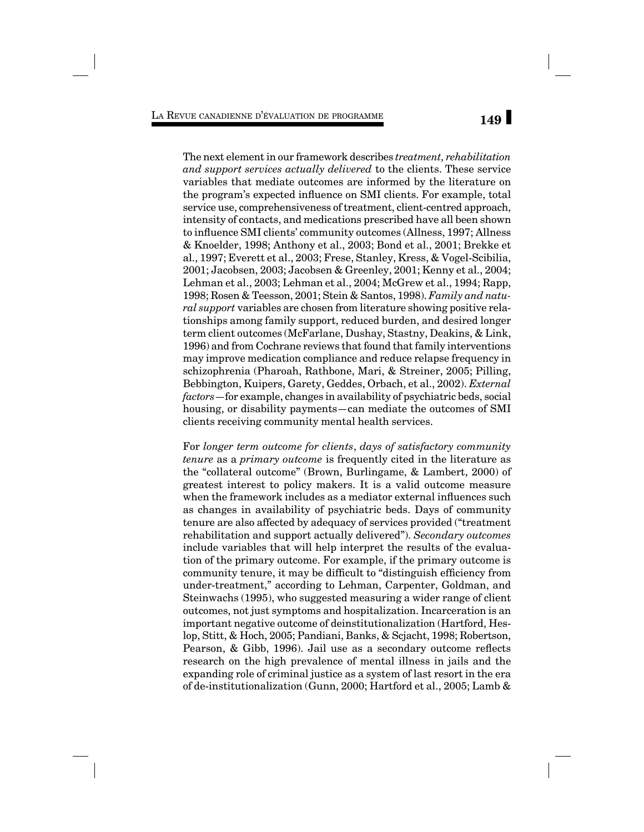The next element in our framework describes *treatment, rehabilitation and support services actually delivered* to the clients. These service variables that mediate outcomes are informed by the literature on the program's expected influence on SMI clients. For example, total service use, comprehensiveness of treatment, client-centred approach, intensity of contacts, and medications prescribed have all been shown to influence SMI clients' community outcomes (Allness, 1997; Allness & Knoelder, 1998; Anthony et al., 2003; Bond et al., 2001; Brekke et al., 1997; Everett et al., 2003; Frese, Stanley, Kress, & Vogel-Scibilia, 2001; Jacobsen, 2003; Jacobsen & Greenley, 2001; Kenny et al., 2004; Lehman et al., 2003; Lehman et al., 2004; McGrew et al., 1994; Rapp, 1998; Rosen & Teesson, 2001; Stein & Santos, 1998). *Family and natural support* variables are chosen from literature showing positive relationships among family support, reduced burden, and desired longer term client outcomes (McFarlane, Dushay, Stastny, Deakins, & Link, 1996) and from Cochrane reviews that found that family interventions may improve medication compliance and reduce relapse frequency in schizophrenia (Pharoah, Rathbone, Mari, & Streiner, 2005; Pilling, Bebbington, Kuipers, Garety, Geddes, Orbach, et al., 2002). *External factors*—for example, changes in availability of psychiatric beds, social housing, or disability payments—can mediate the outcomes of SMI clients receiving community mental health services.

For *longer term outcome for clients*, *days of satisfactory community tenure* as a *primary outcome* is frequently cited in the literature as the "collateral outcome" (Brown, Burlingame, & Lambert, 2000) of greatest interest to policy makers. It is a valid outcome measure when the framework includes as a mediator external influences such as changes in availability of psychiatric beds. Days of community tenure are also affected by adequacy of services provided ("treatment rehabilitation and support actually delivered"). *Secondary outcomes*  include variables that will help interpret the results of the evaluation of the primary outcome. For example, if the primary outcome is community tenure, it may be difficult to "distinguish efficiency from under-treatment," according to Lehman, Carpenter, Goldman, and Steinwachs (1995), who suggested measuring a wider range of client outcomes, not just symptoms and hospitalization. Incarceration is an important negative outcome of deinstitutionalization (Hartford, Heslop, Stitt, & Hoch, 2005; Pandiani, Banks, & Scjacht, 1998; Robertson, Pearson, & Gibb, 1996). Jail use as a secondary outcome reflects research on the high prevalence of mental illness in jails and the expanding role of criminal justice as a system of last resort in the era of de-institutionalization (Gunn, 2000; Hartford et al., 2005; Lamb &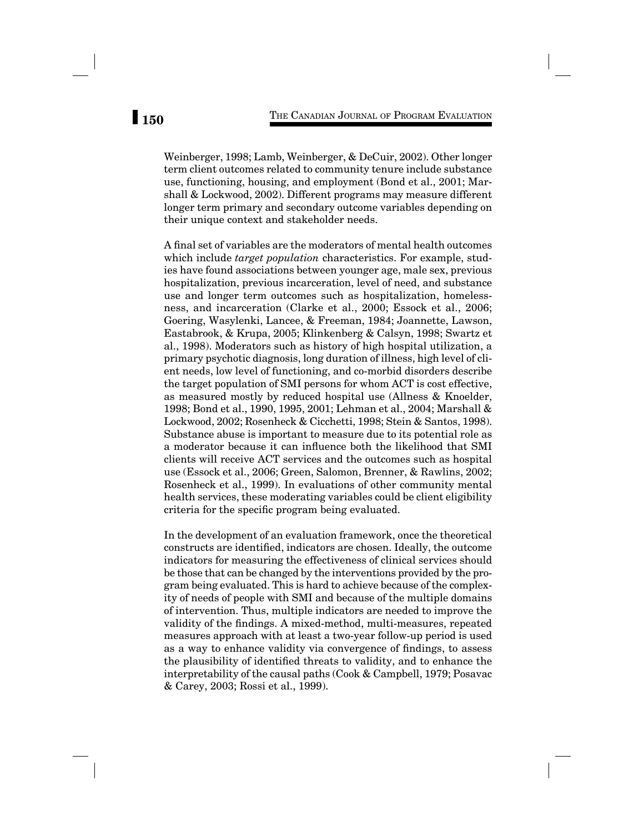Weinberger, 1998; Lamb, Weinberger, & DeCuir, 2002). Other longer term client outcomes related to community tenure include substance use, functioning, housing, and employment (Bond et al., 2001; Marshall & Lockwood, 2002). Different programs may measure different longer term primary and secondary outcome variables depending on their unique context and stakeholder needs.

A final set of variables are the moderators of mental health outcomes which include *target population* characteristics. For example, studies have found associations between younger age, male sex, previous hospitalization, previous incarceration, level of need, and substance use and longer term outcomes such as hospitalization, homelessness, and incarceration (Clarke et al., 2000; Essock et al., 2006; Goering, Wasylenki, Lancee, & Freeman, 1984; Joannette, Lawson, Eastabrook, & Krupa, 2005; Klinkenberg & Calsyn, 1998; Swartz et al., 1998). Moderators such as history of high hospital utilization, a primary psychotic diagnosis, long duration of illness, high level of client needs, low level of functioning, and co-morbid disorders describe the target population of SMI persons for whom ACT is cost effective, as measured mostly by reduced hospital use (Allness & Knoelder, 1998; Bond et al., 1990, 1995, 2001; Lehman et al., 2004; Marshall & Lockwood, 2002; Rosenheck & Cicchetti, 1998; Stein & Santos, 1998). Substance abuse is important to measure due to its potential role as a moderator because it can influence both the likelihood that SMI clients will receive ACT services and the outcomes such as hospital use (Essock et al., 2006; Green, Salomon, Brenner, & Rawlins, 2002; Rosenheck et al., 1999). In evaluations of other community mental health services, these moderating variables could be client eligibility criteria for the specific program being evaluated.

In the development of an evaluation framework, once the theoretical constructs are identified, indicators are chosen. Ideally, the outcome indicators for measuring the effectiveness of clinical services should be those that can be changed by the interventions provided by the program being evaluated. This is hard to achieve because of the complexity of needs of people with SMI and because of the multiple domains of intervention. Thus, multiple indicators are needed to improve the validity of the findings. A mixed-method, multi-measures, repeated measures approach with at least a two-year follow-up period is used as a way to enhance validity via convergence of findings, to assess the plausibility of identified threats to validity, and to enhance the interpretability of the causal paths (Cook & Campbell, 1979; Posavac & Carey, 2003; Rossi et al., 1999).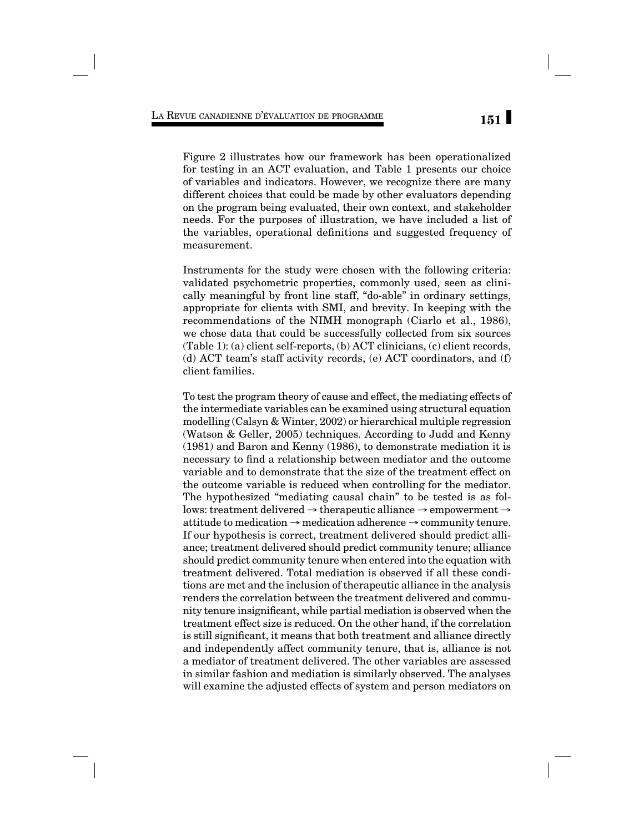Figure 2 illustrates how our framework has been operationalized for testing in an ACT evaluation, and Table 1 presents our choice of variables and indicators. However, we recognize there are many different choices that could be made by other evaluators depending on the program being evaluated, their own context, and stakeholder needs. For the purposes of illustration, we have included a list of the variables, operational definitions and suggested frequency of measurement.

Instruments for the study were chosen with the following criteria: validated psychometric properties, commonly used, seen as clinically meaningful by front line staff, "do-able" in ordinary settings, appropriate for clients with SMI, and brevity. In keeping with the recommendations of the NIMH monograph (Ciarlo et al., 1986), we chose data that could be successfully collected from six sources (Table 1): (a) client self-reports, (b) ACT clinicians, (c) client records, (d) ACT team's staff activity records, (e) ACT coordinators, and (f) client families.

To test the program theory of cause and effect, the mediating effects of the intermediate variables can be examined using structural equation modelling (Calsyn & Winter, 2002) or hierarchical multiple regression (Watson & Geller, 2005) techniques. According to Judd and Kenny (1981) and Baron and Kenny (1986), to demonstrate mediation it is necessary to find a relationship between mediator and the outcome variable and to demonstrate that the size of the treatment effect on the outcome variable is reduced when controlling for the mediator. The hypothesized "mediating causal chain" to be tested is as follows: treatment delivered → therapeutic alliance → empowerment → attitude to medication  $\rightarrow$  medication adherence  $\rightarrow$  community tenure. If our hypothesis is correct, treatment delivered should predict alliance; treatment delivered should predict community tenure; alliance should predict community tenure when entered into the equation with treatment delivered. Total mediation is observed if all these conditions are met and the inclusion of therapeutic alliance in the analysis renders the correlation between the treatment delivered and community tenure insignificant, while partial mediation is observed when the treatment effect size is reduced. On the other hand, if the correlation is still significant, it means that both treatment and alliance directly and independently affect community tenure, that is, alliance is not a mediator of treatment delivered. The other variables are assessed in similar fashion and mediation is similarly observed. The analyses will examine the adjusted effects of system and person mediators on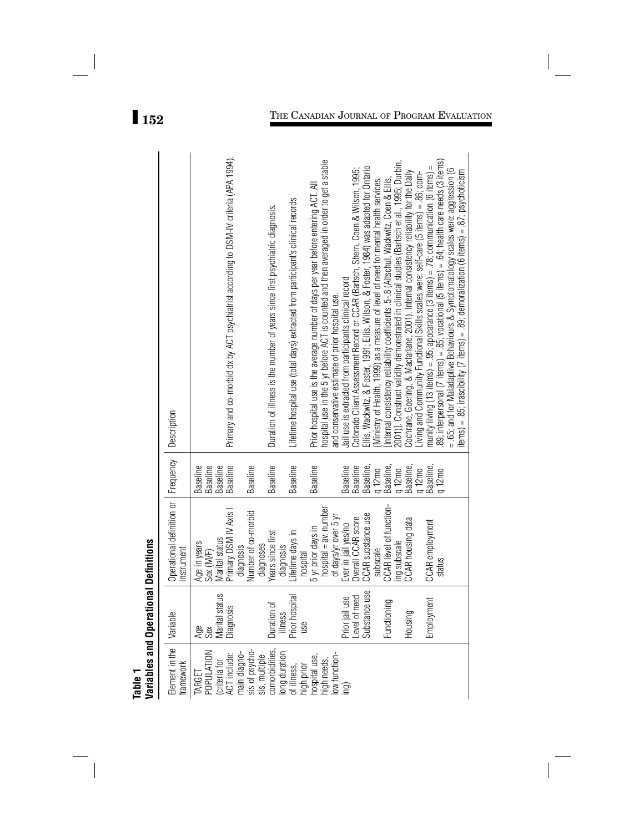| ı<br>ŗ.  |
|----------|
| ć        |
| anc<br>í |
| q<br>Ξ   |

| Element in the<br>comorbidities,<br>sis of psycho-<br>POPULATION<br>long duration<br>main diagno-<br>low function-<br>ACT include:<br>sis, multiple<br>hospital use,<br>high needs,<br>(criteria for<br>tramework<br>of illness,<br>high prior<br>TARGET | Variables and Operational Definitions<br>Substance use<br>Marital status<br>Prior hospital<br>Level of need<br>Prior jail use<br>Functioning<br>Duration of<br>Diagnosis<br>Variable<br>Housing<br>illness<br>use<br>Age<br>Sex | Operational definition or   Frequency<br>CCAR level of function-<br>hospital = av. number<br>Primary DSM IV Axis I<br>Number of co-morbid<br>of days/yr over 5 yr<br>CCAR substance use<br><b>Overall CCAR</b> score<br>CCAR housing data<br>Ever in jail yes/no<br>5 yr prior days in<br>Lifetime days in<br>Years since first<br>Marital status<br>ing subscale<br>Age in years<br>diagnoses<br>diagnosis<br>diagnosis<br>instrument<br>subscale<br>Sex (M/F)<br>hospital | <b>Baseline</b><br>Baseline,<br>Baseline,<br><b>Baseline</b><br><b>Baseline</b><br>Baseline,<br><b>Baseline</b><br><b>Baseline</b><br><b>Baseline</b><br><b>Baseline</b><br><b>Baseline</b><br><b>Baseline</b><br>Baseline<br>q 12mo<br>q 12mo<br>q 12mo | Primary and co-morbid dx by ACT psychiatrist according to DSM-IV criteria (APA 1994).<br>hospital use in the 5 yr before ACT is counted and then averaged in order to get a stable<br>2001)]. Construct validity demonstrated in clinical studies (Bartsch et al., 1995; Durbin,<br>Ellis, Wackwitz, & Foster, 1991; Ellis, Wilson, & Foster, 1984) was adapted for Ontario<br>Colorado Client Assessment Record or CCAR (Bartsch, Shern, Coen & Wilson, 1995;<br>Cochrane, Goering, & Macfarlane, 2001). Internal consistency reliability for the Daily<br>Living and Community Functional Skills scales were: self-care (5 items) = .86; com-<br>Internal consistency reliability coefficients .5-.8 (Altschul, Wackwitz, Coen & Ellis,<br>Ministry of Health, 1999) as a measure of level of need for mental health services.<br>Prior hospital use is the average number of days per year before entering ACT. All<br>Lifetime hospital use (total days) extracted from participant's clinical records<br>Duration of illness is the number of years since first psychiatric diagnosis.<br>Jail use is extracted from participants clinical record<br>and conservative estimate of prior hospital use.<br>Description |
|----------------------------------------------------------------------------------------------------------------------------------------------------------------------------------------------------------------------------------------------------------|---------------------------------------------------------------------------------------------------------------------------------------------------------------------------------------------------------------------------------|-----------------------------------------------------------------------------------------------------------------------------------------------------------------------------------------------------------------------------------------------------------------------------------------------------------------------------------------------------------------------------------------------------------------------------------------------------------------------------|----------------------------------------------------------------------------------------------------------------------------------------------------------------------------------------------------------------------------------------------------------|---------------------------------------------------------------------------------------------------------------------------------------------------------------------------------------------------------------------------------------------------------------------------------------------------------------------------------------------------------------------------------------------------------------------------------------------------------------------------------------------------------------------------------------------------------------------------------------------------------------------------------------------------------------------------------------------------------------------------------------------------------------------------------------------------------------------------------------------------------------------------------------------------------------------------------------------------------------------------------------------------------------------------------------------------------------------------------------------------------------------------------------------------------------------------------------------------------------------------|
|                                                                                                                                                                                                                                                          | Employment                                                                                                                                                                                                                      | <b>CCAR</b> employment<br>status                                                                                                                                                                                                                                                                                                                                                                                                                                            | Baseline,<br>$q 12$ mo                                                                                                                                                                                                                                   | 89; interpersonal (7 litems) = .85; vocational (5 litems) = .64; health care needs (3 litems)<br>munity living (13 items) = .95; appearance (3 items) = .78; communication (6 items) =<br>= .65; and for Maladaptive Behaviours & Symptomatology scales were: aggression (6                                                                                                                                                                                                                                                                                                                                                                                                                                                                                                                                                                                                                                                                                                                                                                                                                                                                                                                                               |
|                                                                                                                                                                                                                                                          |                                                                                                                                                                                                                                 |                                                                                                                                                                                                                                                                                                                                                                                                                                                                             |                                                                                                                                                                                                                                                          | items) = .85; irascibility (7 items) = .89; demoralization (6 items) = .87; psychoticism                                                                                                                                                                                                                                                                                                                                                                                                                                                                                                                                                                                                                                                                                                                                                                                                                                                                                                                                                                                                                                                                                                                                  |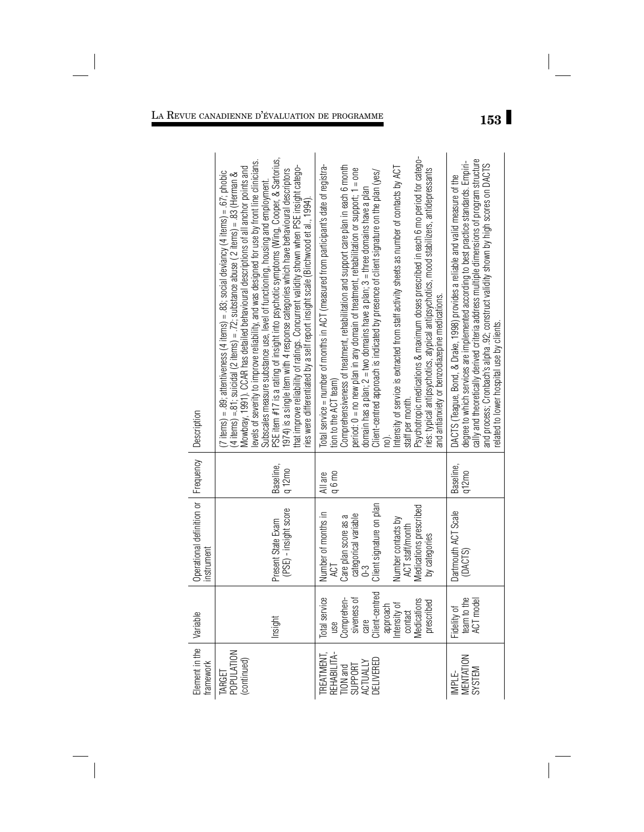| Element in the Variable<br>framework                                     |                                                                                                                                             | Operational definition or   Frequency   Description<br>nstrument                                                                                                                    |                       |                                                                                                                                                                                                                                                                                                                                                                                                                                                                                                                                                                                                                                                                                                                                                                                                                                   |
|--------------------------------------------------------------------------|---------------------------------------------------------------------------------------------------------------------------------------------|-------------------------------------------------------------------------------------------------------------------------------------------------------------------------------------|-----------------------|-----------------------------------------------------------------------------------------------------------------------------------------------------------------------------------------------------------------------------------------------------------------------------------------------------------------------------------------------------------------------------------------------------------------------------------------------------------------------------------------------------------------------------------------------------------------------------------------------------------------------------------------------------------------------------------------------------------------------------------------------------------------------------------------------------------------------------------|
| TARGET<br>POPULATION<br>(continued)                                      | Insight                                                                                                                                     | (PSE) - insight score<br>Present State Exam                                                                                                                                         | Baseline,<br>$q12$ mo | PSE item #17 is a rating of insight into psychotic symptoms (Wing, Cooper, & Sartorius,<br>evels of severity to improve reliability, and was designed for use by front line clinicians.<br>that improve reliability of ratings. Concurrent validity shown when PSE insight catego-<br>Mowbray, 1991). CCAR has detailed behavioural descriptions of all anchor points and<br>1974) is a single item with 4 response categories which have behavioural descriptors<br>(7 items) = .89; attentiveness (4 items) = .83; social deviancy (4 items) = .67; phobic<br>(4 items) = 81; suicidal (2 items) = .72; substance abuse (2 items) = .83 (Herman &<br>Subscales measure substance use, level of functioning, housing and employment<br>ries were differentiated by a self report insight scale (Birchwood et al., 1994).         |
| TREATMENT,<br>REHABILITA-<br>TION and<br>SUPPORT<br>ACTUALLY<br>ACTUALLY | use<br>Comprehen-<br>siveness of<br>siveness of<br>client-centred<br>approach<br>henications<br>contact<br>Total service<br>cribed<br>preso | Client signature on plan<br>Medications prescribed<br>Number of months in<br>categorical variable<br>Care plan score as a<br>Number contacts by<br>ACT staff/month<br>by categories | q 6 mo<br>All are     | Psychotropic medications & maximum doses prescribed in each 6 mo period for catego-<br>Total service = number of months in ACT (measured from participant's date of registra-<br>Comprehensiveness of treatment, rehabilitation and support care plan in each 6 month<br>Intensity of service is extracted from staff activity sheets as number of contacts by ACT<br>period: 0 = no new plan in any domain of treatment, rehabilitation or support; 1 = one<br>ries: typical antipsychotics, atypical antipsychotics, mood stabilizers, antidepressants<br>Client-centred approach is indicated by presence of client signature on the plan (yes/<br>domain has a plan; 2 = two domains have a plan; 3 = three domains have a plan<br>and antianxiety or benzodiazepine medications.<br>tion to the ACT team)<br>staff per month |
| IMPLE-<br>MENTATION<br>SYSTEM                                            | I to the<br>model<br>Fidelity of<br>team to th<br>ACT mod                                                                                   | Dartmouth ACT Scale<br>(DACTS)                                                                                                                                                      | Baseline,<br>$q12$ mo | cally and theoretically derived criteria address multiple dimensions of program structure<br>degree to which services are implemented according to best practice standards. Empiri-<br>and process; Cronbach's alpha .92; construct validity shown by high scores on DACTS<br>DACTS (Teague, Bond, & Drake, 1998) provides a reliable and valid measure of the<br>related to lower hospital use by clients.                                                                                                                                                                                                                                                                                                                                                                                                                       |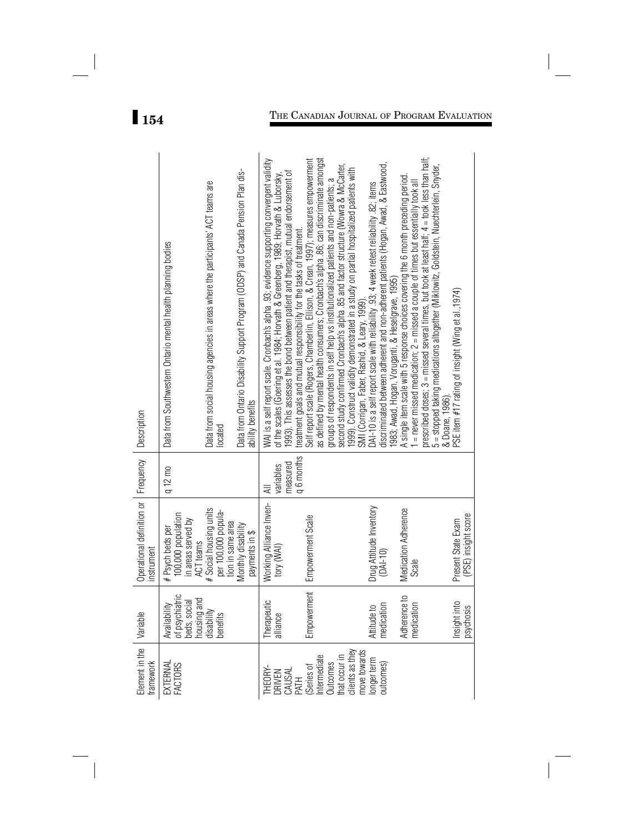| Element in the<br>framework                                                                                                                | Variable                                                                                  | Operational definition or   Frequency<br>Instrument                      |                            | Description                                                                                                                                                                                                                                                           |
|--------------------------------------------------------------------------------------------------------------------------------------------|-------------------------------------------------------------------------------------------|--------------------------------------------------------------------------|----------------------------|-----------------------------------------------------------------------------------------------------------------------------------------------------------------------------------------------------------------------------------------------------------------------|
| EXTERNAL<br>FACTORS                                                                                                                        | Availability<br>of psychiatric<br>beds, social<br>housing and<br>disability<br>disability | 100,000 population<br>n areas served by<br># Psych beds per<br>ACT teams | $q12$ mo                   | Data from Southwestern Ontario mental health planning bodies                                                                                                                                                                                                          |
|                                                                                                                                            |                                                                                           | Social housing units<br>per 100,000 popula-<br>tion in same area         |                            | Data from social housing agencies in areas where the participants' ACT teams are<br>located                                                                                                                                                                           |
|                                                                                                                                            |                                                                                           | Monthly disability<br>payments in \$                                     |                            | Data from Ontario Disability Support Program (ODSP) and Canada Pension Plan dis-<br>ability benefits                                                                                                                                                                  |
| THEORY<br>DRIVEN<br>CAUSAL<br>CAUSAL<br>Mermediate<br>Internes<br>Outcomes<br>Cilents as they<br>conget term<br>Conget term<br>Conget term | Therapeutic<br>alliance                                                                   | Working Alliance Inven-<br>tory (WAI)                                    | measured<br>variables<br>₹ | WAI is a self report scale. Cronbach's alpha .93; evidence supporting convergent validity<br>1993). This assesses the bond between patient and therapist, mutual endorsement of<br>of the scales (Goering et al. 1984; Horvath & Greenberg, 1989; Horvath & Luborsky, |
|                                                                                                                                            | Empowerment                                                                               | Empowerment Scale                                                        | q 6 months                 | Self report scale (Rogers, Chamberlin, Ellison, & Crean, 1997); measures empowerment<br>treatment goals and mutual responsibility for the tasks of treatment.                                                                                                         |
|                                                                                                                                            |                                                                                           |                                                                          |                            | as defined by mental health consumers; Cronbach's alpha .86; can discriminate amongst<br>groups of respondents in self help vs institutionalized patients and non-patients; a                                                                                         |
|                                                                                                                                            |                                                                                           |                                                                          |                            | second study confirmed Cronbach's alpha .85 and factor structure (Wowra & McCarter,                                                                                                                                                                                   |
|                                                                                                                                            |                                                                                           |                                                                          |                            | 1999). Construct validity demonstrated in a study on partial hospitalized patients with<br>SMI (Corrigan, Faber, Rashid, & Leary, 1999).                                                                                                                              |
|                                                                                                                                            | Attitude to                                                                               | Drug Attitude Inventory                                                  |                            | DAI-10 is a self report scale with reliability .93; 4 week retest reliability .82; items                                                                                                                                                                              |
|                                                                                                                                            | medication                                                                                | $(DA-10)$                                                                |                            | discriminated between adherent and non-adherent patients (Hogan, Awad, & Eastwood                                                                                                                                                                                     |
|                                                                                                                                            |                                                                                           |                                                                          |                            | 1983; Awad, Hogan, Voruganti, & Heselgrave, 1995)                                                                                                                                                                                                                     |
|                                                                                                                                            | 00 <sup>0</sup><br>Ξ<br>Adhereno<br>medicati                                              | Medication Adherence<br>Scale                                            |                            | A single item scale with 5 response choices covering the 6 month preceding period<br>$=$ never missed medication; $2 =$ missed a couple of times but essentially took all                                                                                             |
|                                                                                                                                            |                                                                                           |                                                                          |                            | prescribed doses; 3 = missed several times, but took at least half; 4 = took less than half;<br>5 = stopped taking medications altogether (Miklowitz, Goldstein, Nuechterlein, Snyder,                                                                                |
|                                                                                                                                            |                                                                                           |                                                                          |                            | & Doane, 1986)                                                                                                                                                                                                                                                        |
|                                                                                                                                            | Insight into<br>psychosis                                                                 | (PSE) insight score<br>Present State Exam                                |                            | PSE item $#17$ rating of insight (Wing et al., 1974)                                                                                                                                                                                                                  |

# **154** THE CANADIAN JOURNAL OF PROGRAM EVALUATION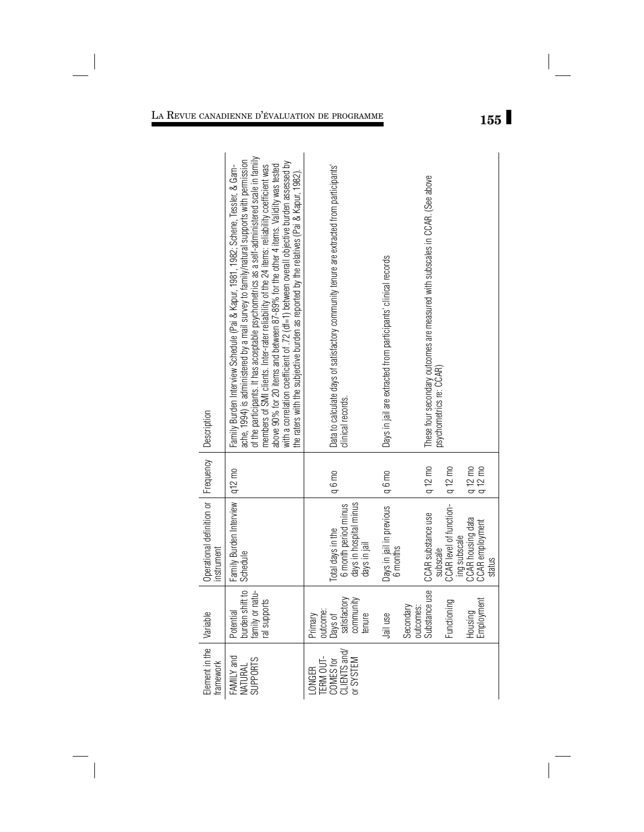|                                                                   | of the participants. It has acceptable psychometrics as a self-administered scale in family<br>members of SMI clients. Inter-rater reliability of the 24 items: reliability coefficient was<br>ache, 1994) is administered by a mail survey to family/natural supports with permission<br>with a correlation coefficient of .72 (df=1) between overall objective burden assessed by<br>above 90% for 20 items and between 87-89% for the other 4 items. Validity was tested<br>Family Burden Interview Schedule (Pai & Kapur, 1981, 1982; Schene, Tessler, & Gam-<br>the raters with the subjective burden as reported by the relatives (Pai & Kapur, 1982) |                     | Data to calculate days of satisfactory community tenure are extracted from participants'<br>clinical records.<br>q 6 mo |              | Days in jail are extracted from participants' clinical records<br>q 6 mo |                        | These four secondary outcomes are measured with subscales in CCAR. (See above<br>psychometrics re: CCAR)<br>q 12 mo | q 12 mo                             |                                   | q 12 mo<br>q 12 mo        |
|-------------------------------------------------------------------|-------------------------------------------------------------------------------------------------------------------------------------------------------------------------------------------------------------------------------------------------------------------------------------------------------------------------------------------------------------------------------------------------------------------------------------------------------------------------------------------------------------------------------------------------------------------------------------------------------------------------------------------------------------|---------------------|-------------------------------------------------------------------------------------------------------------------------|--------------|--------------------------------------------------------------------------|------------------------|---------------------------------------------------------------------------------------------------------------------|-------------------------------------|-----------------------------------|---------------------------|
| Operational definition or   Frequency   Description<br>instrument | Family Burden Interview   q12 mo<br>Schedule                                                                                                                                                                                                                                                                                                                                                                                                                                                                                                                                                                                                                |                     | days in hospital minus<br>6 month period minus<br>Total days in the                                                     | days in jail | Days in jail in previous<br>6 months                                     |                        | CCAR substance use                                                                                                  | subscale<br>CCAR level of function- | CCAR housing data<br>ing subscale | CCAR employment<br>status |
|                                                                   | burden shift to<br>family or natu-<br>al supports<br>Potential                                                                                                                                                                                                                                                                                                                                                                                                                                                                                                                                                                                              | outcome:<br>Primary | satisfactory<br>community<br>Days of                                                                                    | tenure       | Jail use                                                                 | Secondary<br>outcomes: | Substance use                                                                                                       | Functioning                         | Housing                           | Employment                |
| Element in the Variable<br>tramework                              | FAMILY and<br><b>SUPPORTS</b><br>NATURAL                                                                                                                                                                                                                                                                                                                                                                                                                                                                                                                                                                                                                    | TERM OUT-<br>LONGER | CLIENTS and/<br>Dr SYSTEM<br>COMES for                                                                                  |              |                                                                          |                        |                                                                                                                     |                                     |                                   |                           |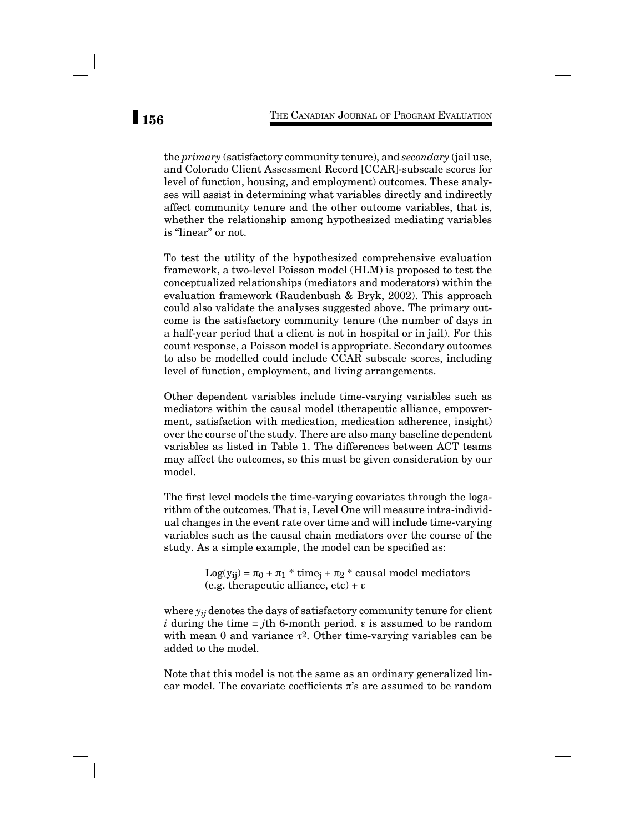the *primary* (satisfactory community tenure), and *secondary* (jail use, and Colorado Client Assessment Record [CCAR]-subscale scores for level of function, housing, and employment) outcomes. These analyses will assist in determining what variables directly and indirectly affect community tenure and the other outcome variables, that is, whether the relationship among hypothesized mediating variables is "linear" or not.

To test the utility of the hypothesized comprehensive evaluation framework, a two-level Poisson model (HLM) is proposed to test the conceptualized relationships (mediators and moderators) within the evaluation framework (Raudenbush & Bryk, 2002). This approach could also validate the analyses suggested above. The primary outcome is the satisfactory community tenure (the number of days in a half-year period that a client is not in hospital or in jail). For this count response, a Poisson model is appropriate. Secondary outcomes to also be modelled could include CCAR subscale scores, including level of function, employment, and living arrangements.

Other dependent variables include time-varying variables such as mediators within the causal model (therapeutic alliance, empowerment, satisfaction with medication, medication adherence, insight) over the course of the study. There are also many baseline dependent variables as listed in Table 1. The differences between ACT teams may affect the outcomes, so this must be given consideration by our model.

The first level models the time-varying covariates through the logarithm of the outcomes. That is, Level One will measure intra-individual changes in the event rate over time and will include time-varying variables such as the causal chain mediators over the course of the study. As a simple example, the model can be specified as:

> $Log(y_{ii}) = \pi_0 + \pi_1 * time_i + \pi_2 * causal model mediators$ (e.g. therapeutic alliance,  $etc$ ) +  $\varepsilon$

where *yij* denotes the days of satisfactory community tenure for client *i* during the time = *j*th 6-month period.  $\varepsilon$  is assumed to be random with mean 0 and variance  $\tau^2$ . Other time-varying variables can be added to the model.

Note that this model is not the same as an ordinary generalized linear model. The covariate coefficients  $\pi$ 's are assumed to be random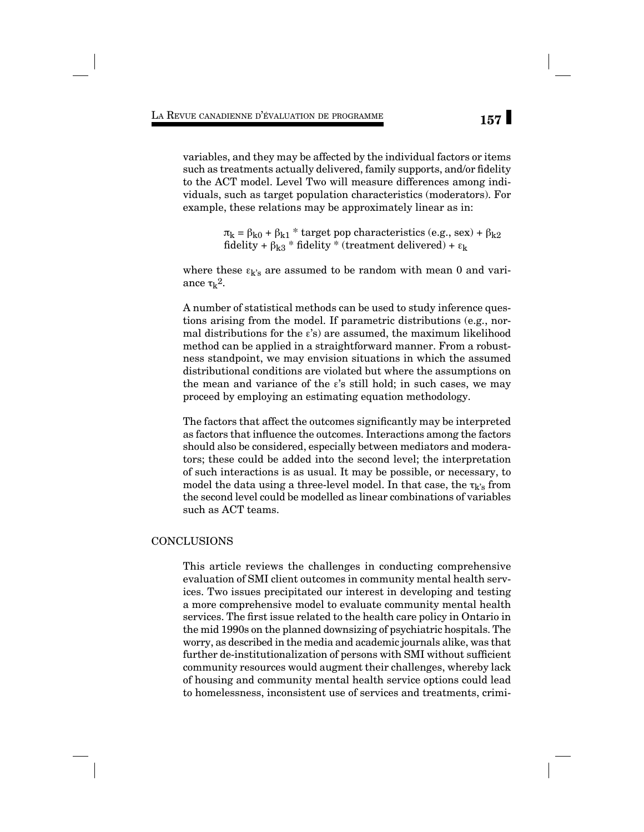variables, and they may be affected by the individual factors or items such as treatments actually delivered, family supports, and/or fidelity to the ACT model. Level Two will measure differences among individuals, such as target population characteristics (moderators). For example, these relations may be approximately linear as in:

> $π_k = β_{k0} + β_{k1} *$  target pop characteristics (e.g., sex) +  $β_{k2}$ fidelity +  $\beta_{\rm k3}$  \* fidelity \* (treatment delivered) +  $\epsilon_{\rm k}$

where these  $\varepsilon_{k's}$  are assumed to be random with mean 0 and variance  $\tau_k^2$ .

A number of statistical methods can be used to study inference questions arising from the model. If parametric distributions (e.g., normal distributions for the  $\varepsilon$ 's) are assumed, the maximum likelihood method can be applied in a straightforward manner. From a robustness standpoint, we may envision situations in which the assumed distributional conditions are violated but where the assumptions on the mean and variance of the  $\varepsilon$ 's still hold; in such cases, we may proceed by employing an estimating equation methodology.

The factors that affect the outcomes significantly may be interpreted as factors that influence the outcomes. Interactions among the factors should also be considered, especially between mediators and moderators; these could be added into the second level; the interpretation of such interactions is as usual. It may be possible, or necessary, to model the data using a three-level model. In that case, the  $\tau_{k's}$  from the second level could be modelled as linear combinations of variables such as ACT teams.

## CONCLUSIONS

This article reviews the challenges in conducting comprehensive evaluation of SMI client outcomes in community mental health services. Two issues precipitated our interest in developing and testing a more comprehensive model to evaluate community mental health services. The first issue related to the health care policy in Ontario in the mid 1990s on the planned downsizing of psychiatric hospitals. The worry, as described in the media and academic journals alike, was that further de-institutionalization of persons with SMI without sufficient community resources would augment their challenges, whereby lack of housing and community mental health service options could lead to homelessness, inconsistent use of services and treatments, crimi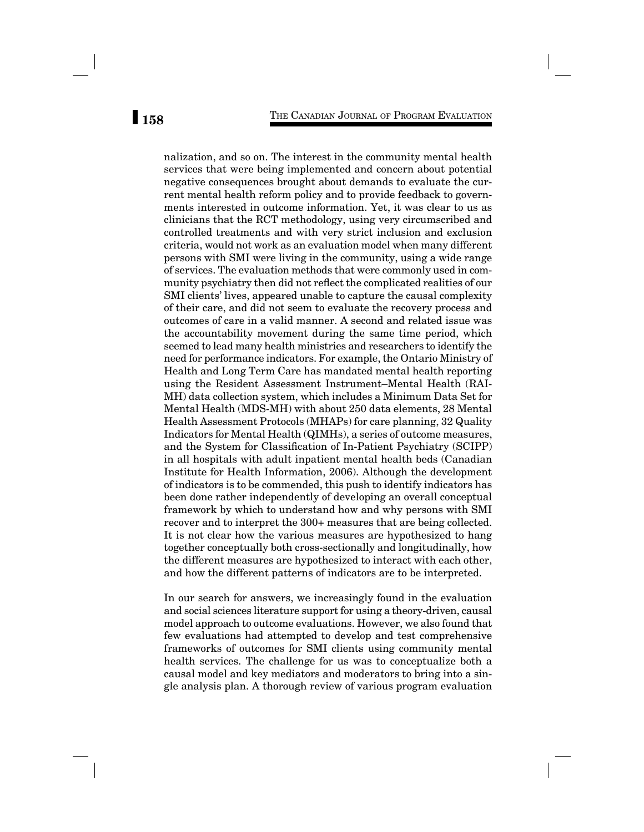nalization, and so on. The interest in the community mental health services that were being implemented and concern about potential negative consequences brought about demands to evaluate the current mental health reform policy and to provide feedback to governments interested in outcome information. Yet, it was clear to us as clinicians that the RCT methodology, using very circumscribed and controlled treatments and with very strict inclusion and exclusion criteria, would not work as an evaluation model when many different persons with SMI were living in the community, using a wide range of services. The evaluation methods that were commonly used in community psychiatry then did not reflect the complicated realities of our SMI clients' lives, appeared unable to capture the causal complexity of their care, and did not seem to evaluate the recovery process and outcomes of care in a valid manner. A second and related issue was the accountability movement during the same time period, which seemed to lead many health ministries and researchers to identify the need for performance indicators. For example, the Ontario Ministry of Health and Long Term Care has mandated mental health reporting using the Resident Assessment Instrument–Mental Health (RAI-MH) data collection system, which includes a Minimum Data Set for Mental Health (MDS-MH) with about 250 data elements, 28 Mental Health Assessment Protocols (MHAPs) for care planning, 32 Quality Indicators for Mental Health (QIMHs), a series of outcome measures, and the System for Classification of In-Patient Psychiatry (SCIPP) in all hospitals with adult inpatient mental health beds (Canadian Institute for Health Information, 2006). Although the development of indicators is to be commended, this push to identify indicators has been done rather independently of developing an overall conceptual framework by which to understand how and why persons with SMI recover and to interpret the 300+ measures that are being collected. It is not clear how the various measures are hypothesized to hang together conceptually both cross-sectionally and longitudinally, how the different measures are hypothesized to interact with each other, and how the different patterns of indicators are to be interpreted.

In our search for answers, we increasingly found in the evaluation and social sciences literature support for using a theory-driven, causal model approach to outcome evaluations. However, we also found that few evaluations had attempted to develop and test comprehensive frameworks of outcomes for SMI clients using community mental health services. The challenge for us was to conceptualize both a causal model and key mediators and moderators to bring into a single analysis plan. A thorough review of various program evaluation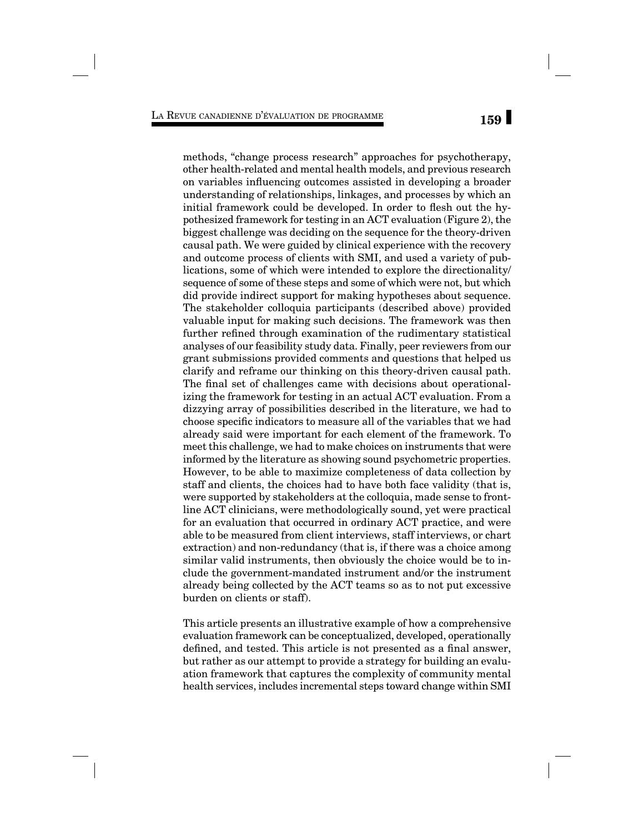methods, "change process research" approaches for psychotherapy, other health-related and mental health models, and previous research on variables influencing outcomes assisted in developing a broader understanding of relationships, linkages, and processes by which an initial framework could be developed. In order to flesh out the hypothesized framework for testing in an ACT evaluation (Figure 2), the biggest challenge was deciding on the sequence for the theory-driven causal path. We were guided by clinical experience with the recovery and outcome process of clients with SMI, and used a variety of publications, some of which were intended to explore the directionality/ sequence of some of these steps and some of which were not, but which did provide indirect support for making hypotheses about sequence. The stakeholder colloquia participants (described above) provided valuable input for making such decisions. The framework was then further refined through examination of the rudimentary statistical analyses of our feasibility study data. Finally, peer reviewers from our grant submissions provided comments and questions that helped us clarify and reframe our thinking on this theory-driven causal path. The final set of challenges came with decisions about operationalizing the framework for testing in an actual ACT evaluation. From a dizzying array of possibilities described in the literature, we had to choose specific indicators to measure all of the variables that we had already said were important for each element of the framework. To meet this challenge, we had to make choices on instruments that were informed by the literature as showing sound psychometric properties. However, to be able to maximize completeness of data collection by staff and clients, the choices had to have both face validity (that is, were supported by stakeholders at the colloquia, made sense to frontline ACT clinicians, were methodologically sound, yet were practical for an evaluation that occurred in ordinary ACT practice, and were able to be measured from client interviews, staff interviews, or chart extraction) and non-redundancy (that is, if there was a choice among similar valid instruments, then obviously the choice would be to include the government-mandated instrument and/or the instrument already being collected by the ACT teams so as to not put excessive burden on clients or staff).

This article presents an illustrative example of how a comprehensive evaluation framework can be conceptualized, developed, operationally defined, and tested. This article is not presented as a final answer, but rather as our attempt to provide a strategy for building an evaluation framework that captures the complexity of community mental health services, includes incremental steps toward change within SMI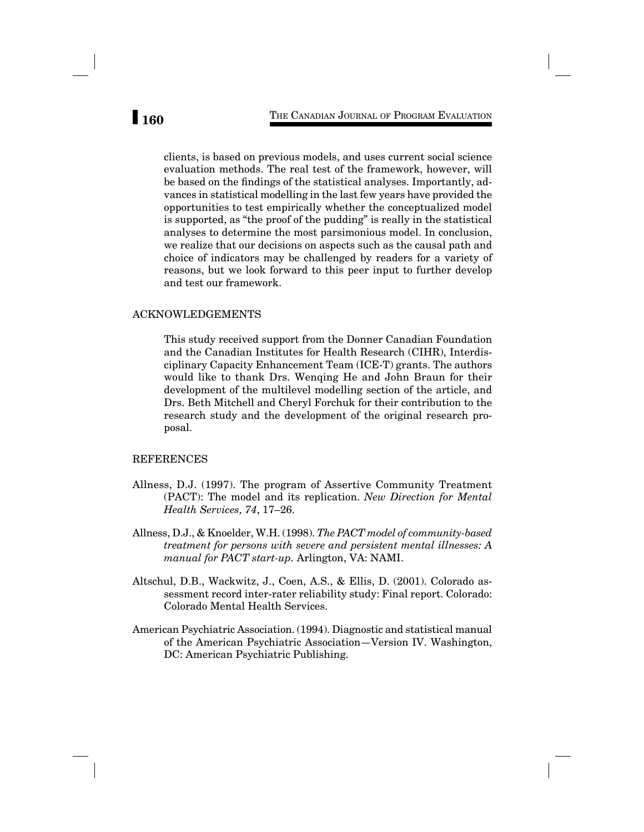clients, is based on previous models, and uses current social science evaluation methods. The real test of the framework, however, will be based on the findings of the statistical analyses. Importantly, advances in statistical modelling in the last few years have provided the opportunities to test empirically whether the conceptualized model is supported, as "the proof of the pudding" is really in the statistical analyses to determine the most parsimonious model. In conclusion, we realize that our decisions on aspects such as the causal path and choice of indicators may be challenged by readers for a variety of reasons, but we look forward to this peer input to further develop and test our framework.

## ACKNOWLEDGEMENTS

This study received support from the Donner Canadian Foundation and the Canadian Institutes for Health Research (CIHR), Interdisciplinary Capacity Enhancement Team (ICE-T) grants. The authors would like to thank Drs. Wenqing He and John Braun for their development of the multilevel modelling section of the article, and Drs. Beth Mitchell and Cheryl Forchuk for their contribution to the research study and the development of the original research proposal.

## REFERENCES

- Allness, D.J. (1997). The program of Assertive Community Treatment (PACT): The model and its replication. *New Direction for Mental Health Services, 74*, 17–26.
- Allness, D.J., & Knoelder, W.H. (1998). *The PACT model of community-based treatment for persons with severe and persistent mental illnesses: A manual for PACT start-up.* Arlington, VA: NAMI.
- Altschul, D.B., Wackwitz, J., Coen, A.S., & Ellis, D. (2001). Colorado assessment record inter-rater reliability study: Final report. Colorado: Colorado Mental Health Services.
- American Psychiatric Association. (1994). Diagnostic and statistical manual of the American Psychiatric Association—Version IV. Washington, DC: American Psychiatric Publishing.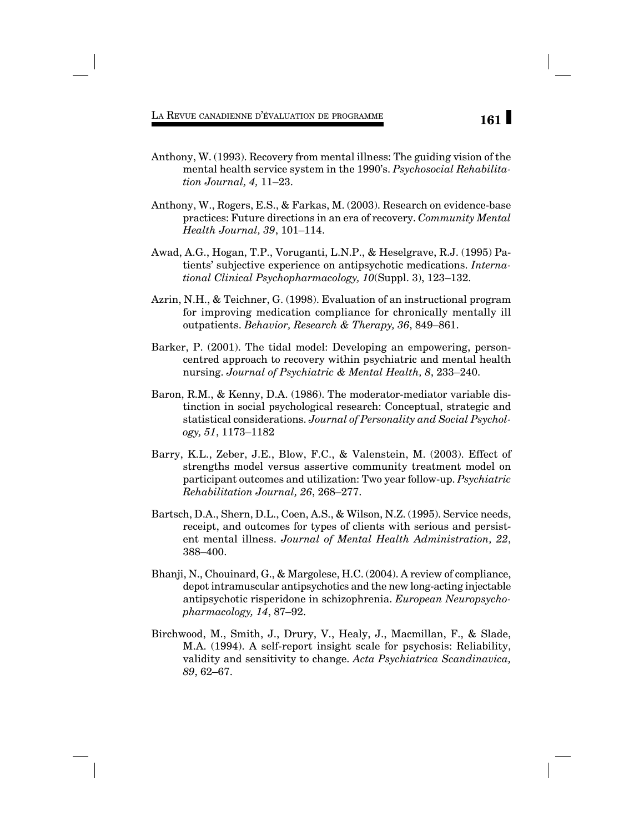- Anthony, W. (1993). Recovery from mental illness: The guiding vision of the mental health service system in the 1990's. *Psychosocial Rehabilitation Journal, 4,* 11–23.
- Anthony, W., Rogers, E.S., & Farkas, M. (2003). Research on evidence-base practices: Future directions in an era of recovery. *Community Mental Health Journal, 39*, 101–114.
- Awad, A.G., Hogan, T.P., Voruganti, L.N.P., & Heselgrave, R.J. (1995) Patients' subjective experience on antipsychotic medications. *International Clinical Psychopharmacology, 10*(Suppl. 3), 123–132.
- Azrin, N.H., & Teichner, G. (1998). Evaluation of an instructional program for improving medication compliance for chronically mentally ill outpatients. *Behavior, Research & Therapy, 36*, 849–861.
- Barker, P. (2001). The tidal model: Developing an empowering, personcentred approach to recovery within psychiatric and mental health nursing. *Journal of Psychiatric & Mental Health, 8*, 233–240.
- Baron, R.M., & Kenny, D.A. (1986). The moderator-mediator variable distinction in social psychological research: Conceptual, strategic and statistical considerations. *Journal of Personality and Social Psychology, 51*, 1173–1182
- Barry, K.L., Zeber, J.E., Blow, F.C., & Valenstein, M. (2003). Effect of strengths model versus assertive community treatment model on participant outcomes and utilization: Two year follow-up. *Psychiatric Rehabilitation Journal, 26*, 268–277.
- Bartsch, D.A., Shern, D.L., Coen, A.S., & Wilson, N.Z. (1995). Service needs, receipt, and outcomes for types of clients with serious and persistent mental illness. *Journal of Mental Health Administration, 22*, 388–400.
- Bhanji, N., Chouinard, G., & Margolese, H.C. (2004). A review of compliance, depot intramuscular antipsychotics and the new long-acting injectable antipsychotic risperidone in schizophrenia. *European Neuropsychopharmacology, 14*, 87–92.
- Birchwood, M., Smith, J., Drury, V., Healy, J., Macmillan, F., & Slade, M.A. (1994). A self-report insight scale for psychosis: Reliability, validity and sensitivity to change. *Acta Psychiatrica Scandinavica, 89*, 62–67.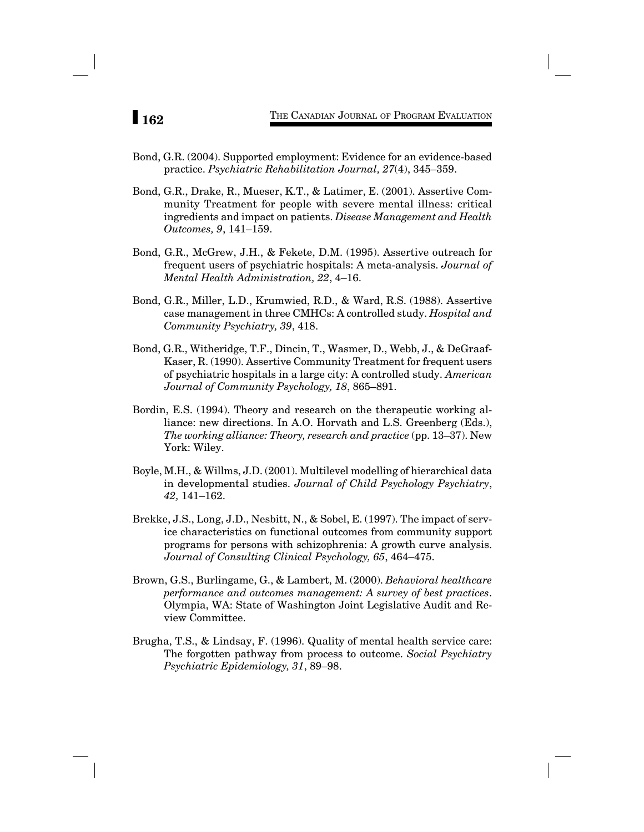- Bond, G.R. (2004). Supported employment: Evidence for an evidence-based practice. *Psychiatric Rehabilitation Journal, 27*(4), 345–359.
- Bond, G.R., Drake, R., Mueser, K.T., & Latimer, E. (2001). Assertive Community Treatment for people with severe mental illness: critical ingredients and impact on patients. *Disease Management and Health Outcomes, 9*, 141–159.
- Bond, G.R., McGrew, J.H., & Fekete, D.M. (1995). Assertive outreach for frequent users of psychiatric hospitals: A meta-analysis. *Journal of Mental Health Administration, 22*, 4–16.
- Bond, G.R., Miller, L.D., Krumwied, R.D., & Ward, R.S. (1988). Assertive case management in three CMHCs: A controlled study. *Hospital and Community Psychiatry, 39*, 418.
- Bond, G.R., Witheridge, T.F., Dincin, T., Wasmer, D., Webb, J., & DeGraaf-Kaser, R. (1990). Assertive Community Treatment for frequent users of psychiatric hospitals in a large city: A controlled study. *American Journal of Community Psychology, 18*, 865–891.
- Bordin, E.S. (1994). Theory and research on the therapeutic working alliance: new directions. In A.O. Horvath and L.S. Greenberg (Eds.), *The working alliance: Theory, research and practice* (pp. 13–37). New York: Wiley.
- Boyle, M.H., & Willms, J.D. (2001). Multilevel modelling of hierarchical data in developmental studies. *Journal of Child Psychology Psychiatry*, *42,* 141–162.
- Brekke, J.S., Long, J.D., Nesbitt, N., & Sobel, E. (1997). The impact of service characteristics on functional outcomes from community support programs for persons with schizophrenia: A growth curve analysis. *Journal of Consulting Clinical Psychology, 65*, 464–475.
- Brown, G.S., Burlingame, G., & Lambert, M. (2000). *Behavioral healthcare performance and outcomes management: A survey of best practices*. Olympia, WA: State of Washington Joint Legislative Audit and Review Committee.
- Brugha, T.S., & Lindsay, F. (1996). Quality of mental health service care: The forgotten pathway from process to outcome. *Social Psychiatry Psychiatric Epidemiology, 31*, 89–98.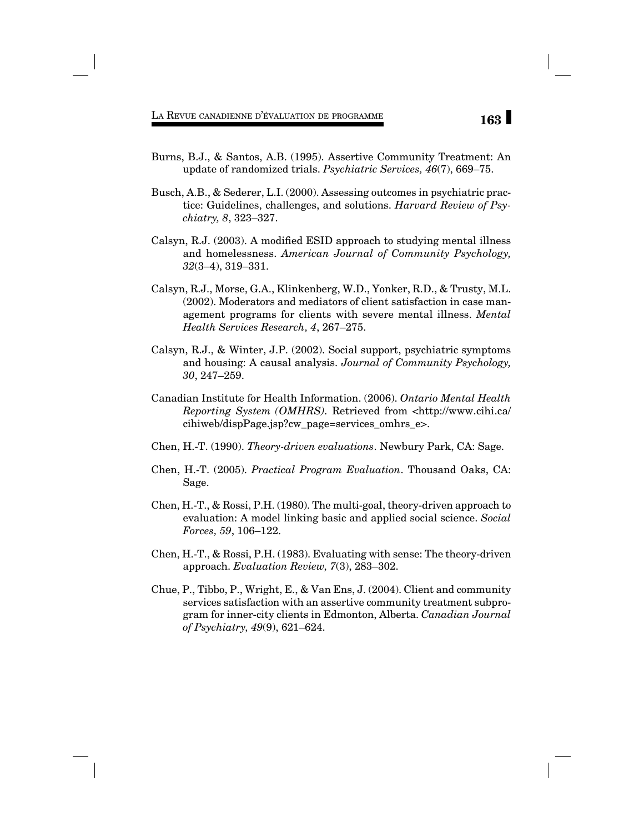- Burns, B.J., & Santos, A.B. (1995). Assertive Community Treatment: An update of randomized trials. *Psychiatric Services, 46*(7), 669–75.
- Busch, A.B., & Sederer, L.I. (2000). Assessing outcomes in psychiatric practice: Guidelines, challenges, and solutions. *Harvard Review of Psychiatry, 8*, 323–327.
- Calsyn, R.J.  $(2003)$ . A modified ESID approach to studying mental illness and homelessness. *American Journal of Community Psychology, 32*(3–4), 319–331.
- Calsyn, R.J., Morse, G.A., Klinkenberg, W.D., Yonker, R.D., & Trusty, M.L. (2002). Moderators and mediators of client satisfaction in case management programs for clients with severe mental illness. *Mental Health Services Research, 4*, 267–275.
- Calsyn, R.J., & Winter, J.P. (2002). Social support, psychiatric symptoms and housing: A causal analysis. *Journal of Community Psychology, 30*, 247–259.
- Canadian Institute for Health Information. (2006). *Ontario Mental Health Reporting System (OMHRS).* Retrieved from <http://www.cihi.ca/ cihiweb/dispPage.jsp?cw\_page=services\_omhrs\_e>.
- Chen, H.-T. (1990). *Theory-driven evaluations*. Newbury Park, CA: Sage.
- Chen, H.-T. (2005). *Practical Program Evaluation*. Thousand Oaks, CA: Sage.
- Chen, H.-T., & Rossi, P.H. (1980). The multi-goal, theory-driven approach to evaluation: A model linking basic and applied social science. *Social Forces, 59*, 106–122.
- Chen, H.-T., & Rossi, P.H. (1983). Evaluating with sense: The theory-driven approach. *Evaluation Review, 7*(3), 283–302.
- Chue, P., Tibbo, P., Wright, E., & Van Ens, J. (2004). Client and community services satisfaction with an assertive community treatment subprogram for inner-city clients in Edmonton, Alberta. *Canadian Journal of Psychiatry, 49*(9), 621–624.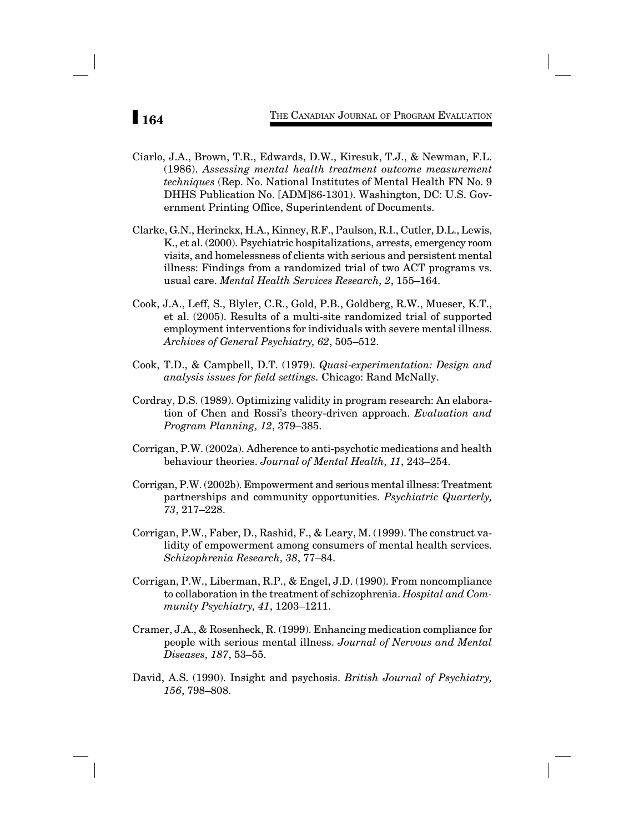- Ciarlo, J.A., Brown, T.R., Edwards, D.W., Kiresuk, T.J., & Newman, F.L. (1986). *Assessing mental health treatment outcome measurement techniques* (Rep. No. National Institutes of Mental Health FN No. 9 DHHS Publication No. [ADM]86-1301). Washington, DC: U.S. Government Printing Office, Superintendent of Documents.
- Clarke, G.N., Herinckx, H.A., Kinney, R.F., Paulson, R.I., Cutler, D.L., Lewis, K., et al. (2000). Psychiatric hospitalizations, arrests, emergency room visits, and homelessness of clients with serious and persistent mental illness: Findings from a randomized trial of two ACT programs vs. usual care. *Mental Health Services Research, 2*, 155–164.
- Cook, J.A., Leff, S., Blyler, C.R., Gold, P.B., Goldberg, R.W., Mueser, K.T., et al. (2005). Results of a multi-site randomized trial of supported employment interventions for individuals with severe mental illness. *Archives of General Psychiatry, 62*, 505–512.
- Cook, T.D., & Campbell, D.T. (1979). *Quasi-experimentation: Design and analysis issues for field settings.* Chicago: Rand McNally.
- Cordray, D.S. (1989). Optimizing validity in program research: An elaboration of Chen and Rossi's theory-driven approach. *Evaluation and Program Planning, 12*, 379–385.
- Corrigan, P.W. (2002a). Adherence to anti-psychotic medications and health behaviour theories. *Journal of Mental Health, 11*, 243–254.
- Corrigan, P.W. (2002b). Empowerment and serious mental illness: Treatment partnerships and community opportunities. *Psychiatric Quarterly, 73*, 217–228.
- Corrigan, P.W., Faber, D., Rashid, F., & Leary, M. (1999). The construct validity of empowerment among consumers of mental health services. *Schizophrenia Research, 38*, 77–84.
- Corrigan, P.W., Liberman, R.P., & Engel, J.D. (1990). From noncompliance to collaboration in the treatment of schizophrenia. *Hospital and Community Psychiatry, 41*, 1203–1211.
- Cramer, J.A., & Rosenheck, R. (1999). Enhancing medication compliance for people with serious mental illness. *Journal of Nervous and Mental Diseases, 187*, 53–55.
- David, A.S. (1990). Insight and psychosis. *British Journal of Psychiatry, 156*, 798–808.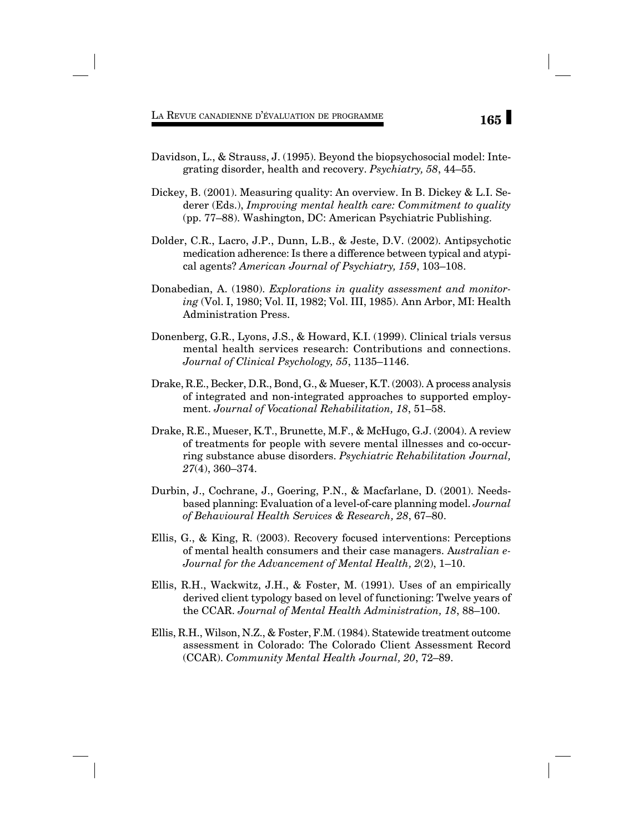- Davidson, L., & Strauss, J. (1995). Beyond the biopsychosocial model: Integrating disorder, health and recovery. *Psychiatry, 58*, 44–55.
- Dickey, B. (2001). Measuring quality: An overview. In B. Dickey & L.I. Sederer (Eds.), *Improving mental health care: Commitment to quality* (pp. 77–88). Washington, DC: American Psychiatric Publishing.
- Dolder, C.R., Lacro, J.P., Dunn, L.B., & Jeste, D.V. (2002). Antipsychotic medication adherence: Is there a difference between typical and atypical agents? *American Journal of Psychiatry, 159*, 103–108.
- Donabedian, A. (1980). *Explorations in quality assessment and monitoring* (Vol. I, 1980; Vol. II, 1982; Vol. III, 1985). Ann Arbor, MI: Health Administration Press.
- Donenberg, G.R., Lyons, J.S., & Howard, K.I. (1999). Clinical trials versus mental health services research: Contributions and connections. *Journal of Clinical Psychology, 55*, 1135–1146.
- Drake, R.E., Becker, D.R., Bond, G., & Mueser, K.T. (2003). A process analysis of integrated and non-integrated approaches to supported employment. *Journal of Vocational Rehabilitation, 18*, 51–58.
- Drake, R.E., Mueser, K.T., Brunette, M.F., & McHugo, G.J. (2004). A review of treatments for people with severe mental illnesses and co-occurring substance abuse disorders. *Psychiatric Rehabilitation Journal, 27*(4), 360–374.
- Durbin, J., Cochrane, J., Goering, P.N., & Macfarlane, D. (2001). Needsbased planning: Evaluation of a level-of-care planning model. *Journal of Behavioural Health Services & Research, 28*, 67–80.
- Ellis, G., & King, R. (2003). Recovery focused interventions: Perceptions of mental health consumers and their case managers. A*ustralian e-Journal for the Advancement of Mental Health, 2*(2), 1–10.
- Ellis, R.H., Wackwitz, J.H., & Foster, M. (1991). Uses of an empirically derived client typology based on level of functioning: Twelve years of the CCAR. *Journal of Mental Health Administration, 18*, 88–100.
- Ellis, R.H., Wilson, N.Z., & Foster, F.M. (1984). Statewide treatment outcome assessment in Colorado: The Colorado Client Assessment Record (CCAR). *Community Mental Health Journal, 20*, 72–89.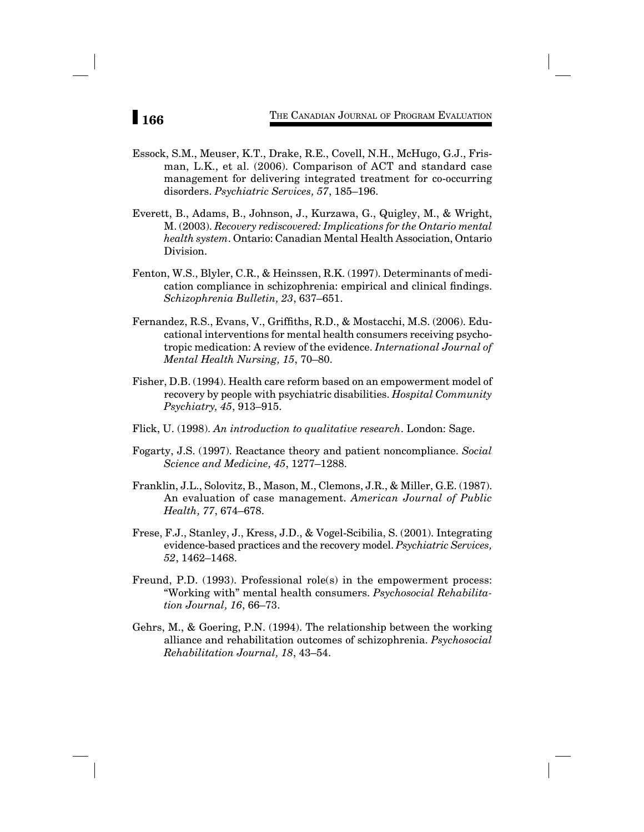# **166** THE CANADIAN JOURNAL OF PROGRAM EVALUATION

- Essock, S.M., Meuser, K.T., Drake, R.E., Covell, N.H., McHugo, G.J., Frisman, L.K., et al. (2006). Comparison of ACT and standard case management for delivering integrated treatment for co-occurring disorders. *Psychiatric Services, 57*, 185–196.
- Everett, B., Adams, B., Johnson, J., Kurzawa, G., Quigley, M., & Wright, M. (2003). *Recovery rediscovered: Implications for the Ontario mental health system*. Ontario: Canadian Mental Health Association, Ontario Division.
- Fenton, W.S., Blyler, C.R., & Heinssen, R.K. (1997). Determinants of medication compliance in schizophrenia: empirical and clinical findings. *Schizophrenia Bulletin, 23*, 637–651.
- Fernandez, R.S., Evans, V., Griffiths, R.D., & Mostacchi, M.S. (2006). Educational interventions for mental health consumers receiving psychotropic medication: A review of the evidence. *International Journal of Mental Health Nursing, 15*, 70–80.
- Fisher, D.B. (1994). Health care reform based on an empowerment model of recovery by people with psychiatric disabilities. *Hospital Community Psychiatry, 45*, 913–915.
- Flick, U. (1998). *An introduction to qualitative research*. London: Sage.
- Fogarty, J.S. (1997). Reactance theory and patient noncompliance. *Social Science and Medicine, 45*, 1277–1288.
- Franklin, J.L., Solovitz, B., Mason, M., Clemons, J.R., & Miller, G.E. (1987). An evaluation of case management. *American Journal of Public Health, 77*, 674–678.
- Frese, F.J., Stanley, J., Kress, J.D., & Vogel-Scibilia, S. (2001). Integrating evidence-based practices and the recovery model. *Psychiatric Services, 52*, 1462–1468.
- Freund, P.D. (1993). Professional role(s) in the empowerment process: "Working with" mental health consumers. *Psychosocial Rehabilitation Journal, 16*, 66–73.
- Gehrs, M., & Goering, P.N. (1994). The relationship between the working alliance and rehabilitation outcomes of schizophrenia. *Psychosocial Rehabilitation Journal, 18*, 43–54.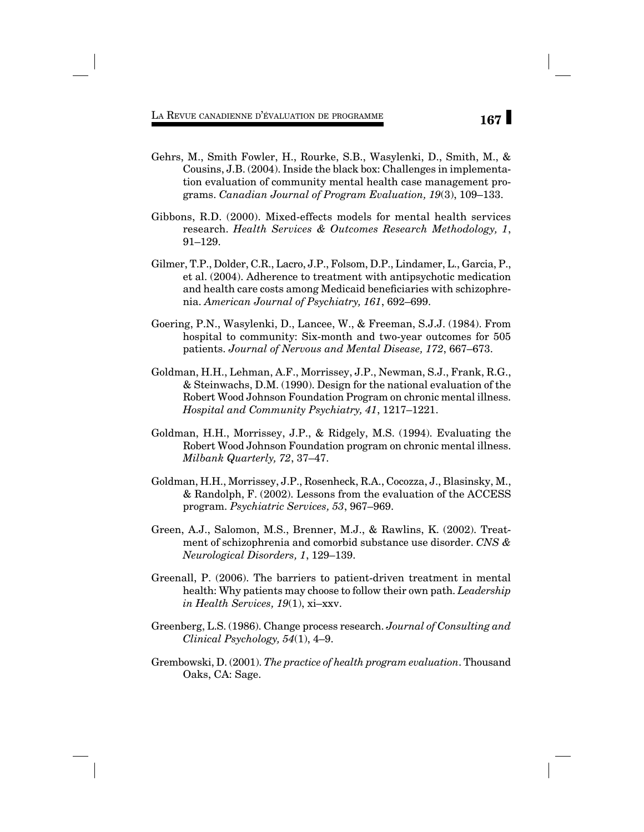- Gehrs, M., Smith Fowler, H., Rourke, S.B., Wasylenki, D., Smith, M., & Cousins, J.B. (2004). Inside the black box: Challenges in implementation evaluation of community mental health case management programs. *Canadian Journal of Program Evaluation, 19*(3), 109–133.
- Gibbons, R.D. (2000). Mixed-effects models for mental health services research. *Health Services & Outcomes Research Methodology, 1*, 91–129.
- Gilmer, T.P., Dolder, C.R., Lacro, J.P., Folsom, D.P., Lindamer, L., Garcia, P., et al. (2004). Adherence to treatment with antipsychotic medication and health care costs among Medicaid beneficiaries with schizophrenia. *American Journal of Psychiatry, 161*, 692–699.
- Goering, P.N., Wasylenki, D., Lancee, W., & Freeman, S.J.J. (1984). From hospital to community: Six-month and two-year outcomes for 505 patients. *Journal of Nervous and Mental Disease, 172*, 667–673.
- Goldman, H.H., Lehman, A.F., Morrissey, J.P., Newman, S.J., Frank, R.G., & Steinwachs, D.M. (1990). Design for the national evaluation of the Robert Wood Johnson Foundation Program on chronic mental illness. *Hospital and Community Psychiatry, 41*, 1217–1221.
- Goldman, H.H., Morrissey, J.P., & Ridgely, M.S. (1994). Evaluating the Robert Wood Johnson Foundation program on chronic mental illness. *Milbank Quarterly, 72*, 37–47.
- Goldman, H.H., Morrissey, J.P., Rosenheck, R.A., Cocozza, J., Blasinsky, M., & Randolph, F. (2002). Lessons from the evaluation of the ACCESS program. *Psychiatric Services, 53*, 967–969.
- Green, A.J., Salomon, M.S., Brenner, M.J., & Rawlins, K. (2002). Treatment of schizophrenia and comorbid substance use disorder. *CNS & Neurological Disorders, 1*, 129–139.
- Greenall, P. (2006). The barriers to patient-driven treatment in mental health: Why patients may choose to follow their own path. *Leadership in Health Services, 19*(1), xi–xxv.
- Greenberg, L.S. (1986). Change process research. *Journal of Consulting and Clinical Psychology, 54*(1), 4–9.
- Grembowski, D. (2001). *The practice of health program evaluation*. Thousand Oaks, CA: Sage.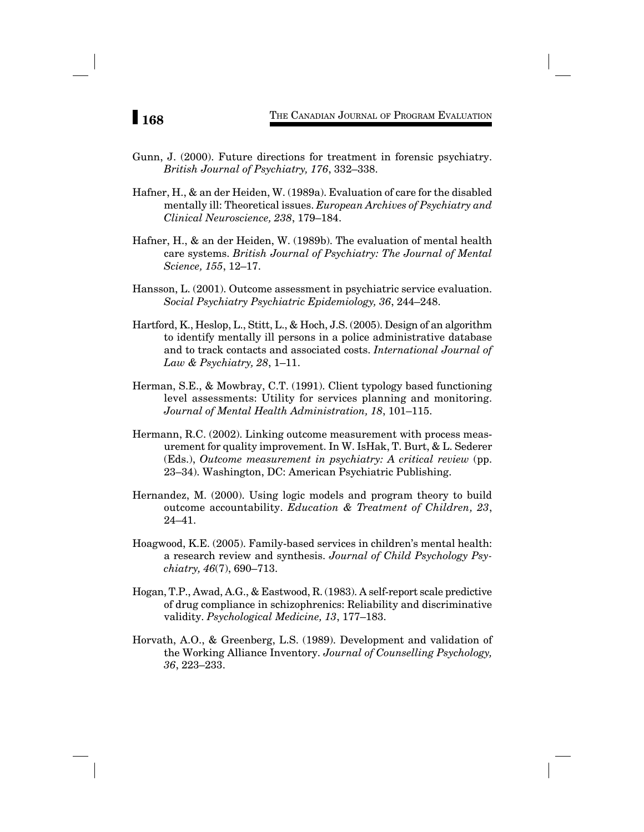- Gunn, J. (2000). Future directions for treatment in forensic psychiatry. *British Journal of Psychiatry, 176*, 332–338.
- Hafner, H., & an der Heiden, W. (1989a). Evaluation of care for the disabled mentally ill: Theoretical issues. *European Archives of Psychiatry and Clinical Neuroscience, 238*, 179–184.
- Hafner, H., & an der Heiden, W. (1989b). The evaluation of mental health care systems. *British Journal of Psychiatry: The Journal of Mental Science, 155*, 12–17.
- Hansson, L. (2001). Outcome assessment in psychiatric service evaluation. *Social Psychiatry Psychiatric Epidemiology, 36*, 244–248.
- Hartford, K., Heslop, L., Stitt, L., & Hoch, J.S. (2005). Design of an algorithm to identify mentally ill persons in a police administrative database and to track contacts and associated costs. *International Journal of Law & Psychiatry, 28*, 1–11.
- Herman, S.E., & Mowbray, C.T. (1991). Client typology based functioning level assessments: Utility for services planning and monitoring. *Journal of Mental Health Administration, 18*, 101–115.
- Hermann, R.C. (2002). Linking outcome measurement with process measurement for quality improvement. In W. IsHak, T. Burt, & L. Sederer (Eds.), *Outcome measurement in psychiatry: A critical review* (pp. 23–34). Washington, DC: American Psychiatric Publishing.
- Hernandez, M. (2000). Using logic models and program theory to build outcome accountability. *Education & Treatment of Children, 23*, 24–41.
- Hoagwood, K.E. (2005). Family-based services in children's mental health: a research review and synthesis. *Journal of Child Psychology Psychiatry, 46*(7), 690–713.
- Hogan, T.P., Awad, A.G., & Eastwood, R. (1983). A self-report scale predictive of drug compliance in schizophrenics: Reliability and discriminative validity. *Psychological Medicine, 13*, 177–183.
- Horvath, A.O., & Greenberg, L.S. (1989). Development and validation of the Working Alliance Inventory. *Journal of Counselling Psychology, 36*, 223–233.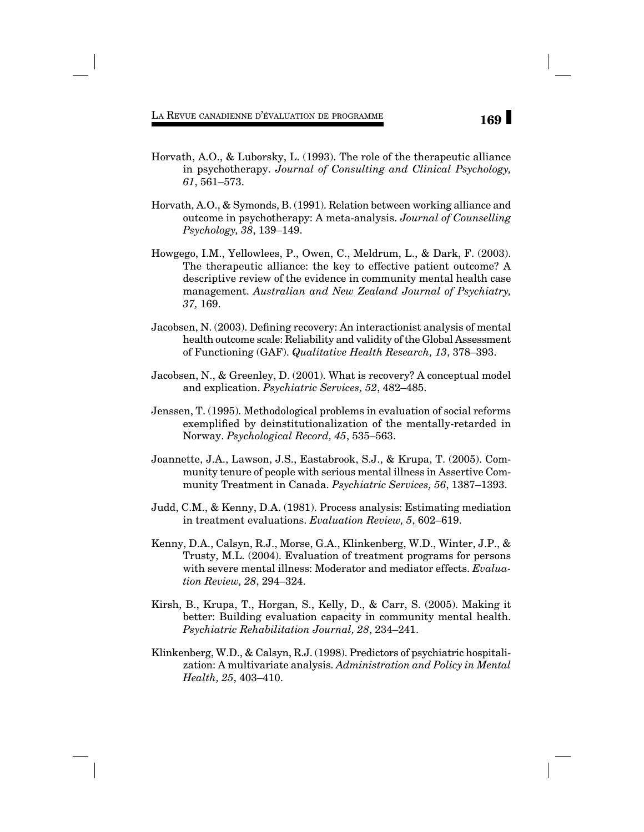- Horvath, A.O., & Luborsky, L. (1993). The role of the therapeutic alliance in psychotherapy. *Journal of Consulting and Clinical Psychology, 61*, 561–573.
- Horvath, A.O., & Symonds, B. (1991). Relation between working alliance and outcome in psychotherapy: A meta-analysis. *Journal of Counselling Psychology, 38*, 139–149.
- Howgego, I.M., Yellowlees, P., Owen, C., Meldrum, L., & Dark, F. (2003). The therapeutic alliance: the key to effective patient outcome? A descriptive review of the evidence in community mental health case management. *Australian and New Zealand Journal of Psychiatry, 37,* 169.
- Jacobsen, N. (2003). Defining recovery: An interactionist analysis of mental health outcome scale: Reliability and validity of the Global Assessment of Functioning (GAF). *Qualitative Health Research, 13*, 378–393.
- Jacobsen, N., & Greenley, D. (2001). What is recovery? A conceptual model and explication. *Psychiatric Services, 52*, 482–485.
- Jenssen, T. (1995). Methodological problems in evaluation of social reforms exemplified by deinstitutionalization of the mentally-retarded in Norway. *Psychological Record, 45*, 535–563.
- Joannette, J.A., Lawson, J.S., Eastabrook, S.J., & Krupa, T. (2005). Community tenure of people with serious mental illness in Assertive Community Treatment in Canada. *Psychiatric Services, 56*, 1387–1393.
- Judd, C.M., & Kenny, D.A. (1981). Process analysis: Estimating mediation in treatment evaluations. *Evaluation Review, 5*, 602–619.
- Kenny, D.A., Calsyn, R.J., Morse, G.A., Klinkenberg, W.D., Winter, J.P., & Trusty, M.L. (2004). Evaluation of treatment programs for persons with severe mental illness: Moderator and mediator effects. *Evaluation Review, 28*, 294–324.
- Kirsh, B., Krupa, T., Horgan, S., Kelly, D., & Carr, S. (2005). Making it better: Building evaluation capacity in community mental health. *Psychiatric Rehabilitation Journal, 28*, 234–241.
- Klinkenberg, W.D., & Calsyn, R.J. (1998). Predictors of psychiatric hospitalization: A multivariate analysis. *Administration and Policy in Mental Health, 25*, 403–410.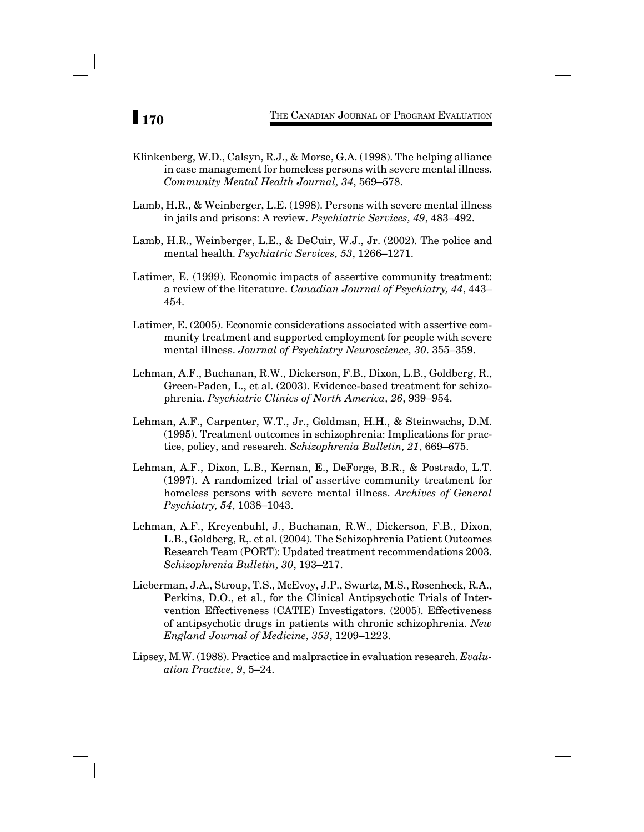- Klinkenberg, W.D., Calsyn, R.J., & Morse, G.A. (1998). The helping alliance in case management for homeless persons with severe mental illness. *Community Mental Health Journal, 34*, 569–578.
- Lamb, H.R., & Weinberger, L.E. (1998). Persons with severe mental illness in jails and prisons: A review. *Psychiatric Services, 49*, 483–492.
- Lamb, H.R., Weinberger, L.E., & DeCuir, W.J., Jr. (2002). The police and mental health. *Psychiatric Services, 53*, 1266–1271.
- Latimer, E. (1999). Economic impacts of assertive community treatment: a review of the literature. *Canadian Journal of Psychiatry, 44*, 443– 454.
- Latimer, E. (2005). Economic considerations associated with assertive community treatment and supported employment for people with severe mental illness. *Journal of Psychiatry Neuroscience, 30*. 355–359.
- Lehman, A.F., Buchanan, R.W., Dickerson, F.B., Dixon, L.B., Goldberg, R., Green-Paden, L., et al. (2003). Evidence-based treatment for schizophrenia. *Psychiatric Clinics of North America, 26*, 939–954.
- Lehman, A.F., Carpenter, W.T., Jr., Goldman, H.H., & Steinwachs, D.M. (1995). Treatment outcomes in schizophrenia: Implications for practice, policy, and research. *Schizophrenia Bulletin, 21*, 669–675.
- Lehman, A.F., Dixon, L.B., Kernan, E., DeForge, B.R., & Postrado, L.T. (1997). A randomized trial of assertive community treatment for homeless persons with severe mental illness. *Archives of General Psychiatry, 54*, 1038–1043.
- Lehman, A.F., Kreyenbuhl, J., Buchanan, R.W., Dickerson, F.B., Dixon, L.B., Goldberg, R,. et al. (2004). The Schizophrenia Patient Outcomes Research Team (PORT): Updated treatment recommendations 2003. *Schizophrenia Bulletin, 30*, 193–217.
- Lieberman, J.A., Stroup, T.S., McEvoy, J.P., Swartz, M.S., Rosenheck, R.A., Perkins, D.O., et al., for the Clinical Antipsychotic Trials of Intervention Effectiveness (CATIE) Investigators. (2005). Effectiveness of antipsychotic drugs in patients with chronic schizophrenia. *New England Journal of Medicine, 353*, 1209–1223.
- Lipsey, M.W. (1988). Practice and malpractice in evaluation research. *Evaluation Practice, 9*, 5–24.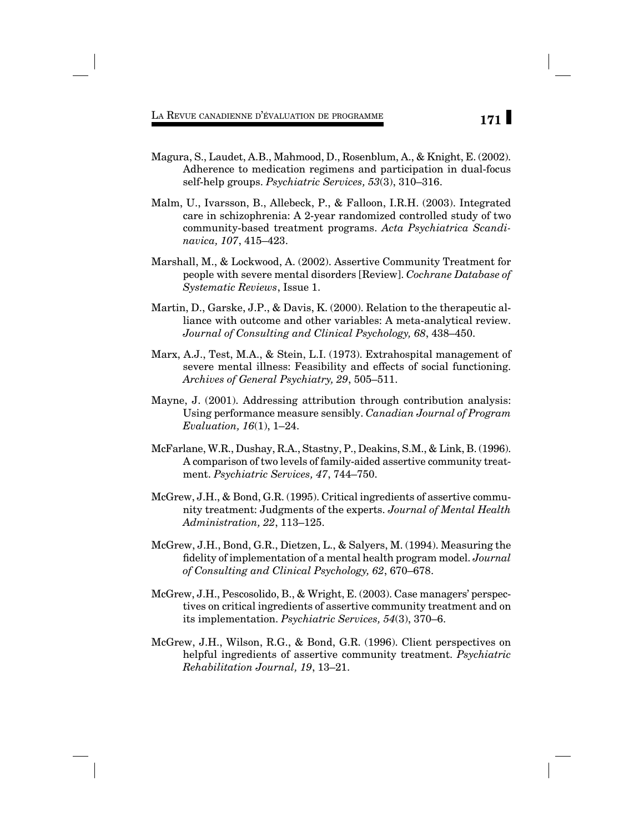- Magura, S., Laudet, A.B., Mahmood, D., Rosenblum, A., & Knight, E. (2002). Adherence to medication regimens and participation in dual-focus self-help groups. *Psychiatric Services, 53*(3), 310–316.
- Malm, U., Ivarsson, B., Allebeck, P., & Falloon, I.R.H. (2003). Integrated care in schizophrenia: A 2-year randomized controlled study of two community-based treatment programs. *Acta Psychiatrica Scandinavica, 107*, 415–423.
- Marshall, M., & Lockwood, A. (2002). Assertive Community Treatment for people with severe mental disorders [Review]. *Cochrane Database of Systematic Reviews*, Issue 1.
- Martin, D., Garske, J.P., & Davis, K. (2000). Relation to the therapeutic alliance with outcome and other variables: A meta-analytical review. *Journal of Consulting and Clinical Psychology, 68*, 438–450.
- Marx, A.J., Test, M.A., & Stein, L.I. (1973). Extrahospital management of severe mental illness: Feasibility and effects of social functioning. *Archives of General Psychiatry, 29*, 505–511.
- Mayne, J. (2001). Addressing attribution through contribution analysis: Using performance measure sensibly. *Canadian Journal of Program Evaluation, 16*(1), 1–24.
- McFarlane, W.R., Dushay, R.A., Stastny, P., Deakins, S.M., & Link, B. (1996). A comparison of two levels of family-aided assertive community treatment. *Psychiatric Services, 47*, 744–750.
- McGrew, J.H., & Bond, G.R. (1995). Critical ingredients of assertive community treatment: Judgments of the experts. *Journal of Mental Health Administration, 22*, 113–125.
- McGrew, J.H., Bond, G.R., Dietzen, L., & Salyers, M. (1994). Measuring the fidelity of implementation of a mental health program model. *Journal of Consulting and Clinical Psychology, 62*, 670–678.
- McGrew, J.H., Pescosolido, B., & Wright, E. (2003). Case managers' perspectives on critical ingredients of assertive community treatment and on its implementation. *Psychiatric Services, 54*(3), 370–6.
- McGrew, J.H., Wilson, R.G., & Bond, G.R. (1996). Client perspectives on helpful ingredients of assertive community treatment. *Psychiatric Rehabilitation Journal, 19*, 13–21.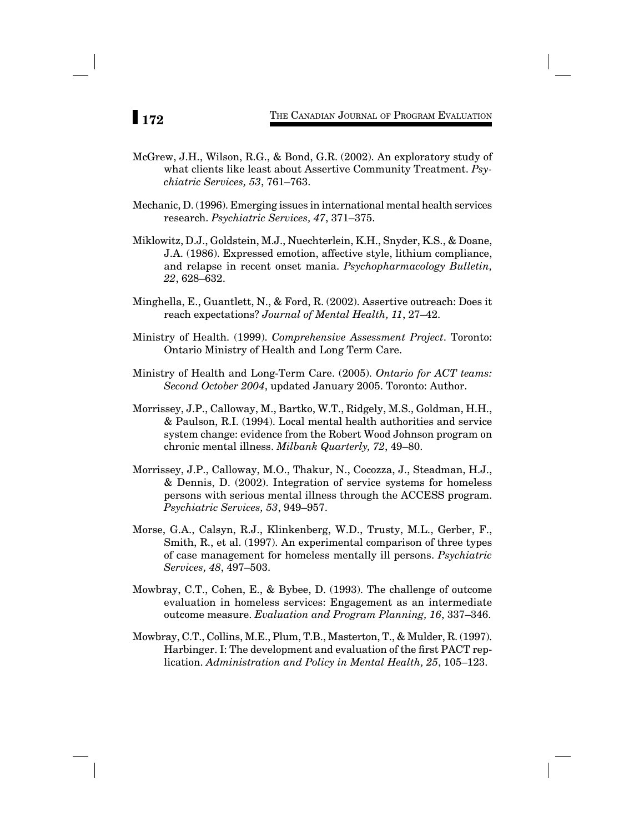- McGrew, J.H., Wilson, R.G., & Bond, G.R. (2002). An exploratory study of what clients like least about Assertive Community Treatment. *Psychiatric Services, 53*, 761–763.
- Mechanic, D. (1996). Emerging issues in international mental health services research. *Psychiatric Services, 47*, 371–375.
- Miklowitz, D.J., Goldstein, M.J., Nuechterlein, K.H., Snyder, K.S., & Doane, J.A. (1986). Expressed emotion, affective style, lithium compliance, and relapse in recent onset mania. *Psychopharmacology Bulletin, 22*, 628–632.
- Minghella, E., Guantlett, N., & Ford, R. (2002). Assertive outreach: Does it reach expectations? *Journal of Mental Health, 11*, 27–42.
- Ministry of Health. (1999). *Comprehensive Assessment Project*. Toronto: Ontario Ministry of Health and Long Term Care.
- Ministry of Health and Long-Term Care. (2005). *Ontario for ACT teams: Second October 2004*, updated January 2005. Toronto: Author.
- Morrissey, J.P., Calloway, M., Bartko, W.T., Ridgely, M.S., Goldman, H.H., & Paulson, R.I. (1994). Local mental health authorities and service system change: evidence from the Robert Wood Johnson program on chronic mental illness. *Milbank Quarterly, 72*, 49–80.
- Morrissey, J.P., Calloway, M.O., Thakur, N., Cocozza, J., Steadman, H.J., & Dennis, D. (2002). Integration of service systems for homeless persons with serious mental illness through the ACCESS program. *Psychiatric Services, 53*, 949–957.
- Morse, G.A., Calsyn, R.J., Klinkenberg, W.D., Trusty, M.L., Gerber, F., Smith, R., et al. (1997). An experimental comparison of three types of case management for homeless mentally ill persons. *Psychiatric Services, 48*, 497–503.
- Mowbray, C.T., Cohen, E., & Bybee, D. (1993). The challenge of outcome evaluation in homeless services: Engagement as an intermediate outcome measure. *Evaluation and Program Planning, 16*, 337–346.
- Mowbray, C.T., Collins, M.E., Plum, T.B., Masterton, T., & Mulder, R. (1997). Harbinger. I: The development and evaluation of the first PACT replication. *Administration and Policy in Mental Health, 25*, 105–123.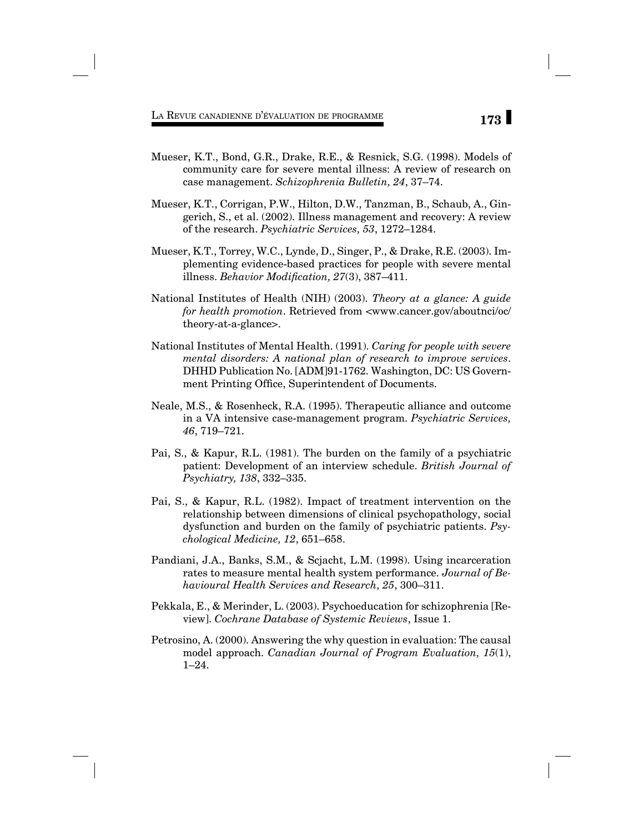- Mueser, K.T., Bond, G.R., Drake, R.E., & Resnick, S.G. (1998). Models of community care for severe mental illness: A review of research on case management. *Schizophrenia Bulletin, 24*, 37–74.
- Mueser, K.T., Corrigan, P.W., Hilton, D.W., Tanzman, B., Schaub, A., Gingerich, S., et al. (2002). Illness management and recovery: A review of the research. *Psychiatric Services, 53*, 1272–1284.
- Mueser, K.T., Torrey, W.C., Lynde, D., Singer, P., & Drake, R.E. (2003). Implementing evidence-based practices for people with severe mental illness. *Behavior Modification*, 27(3), 387-411.
- National Institutes of Health (NIH) (2003). *Theory at a glance: A guide for health promotion*. Retrieved from <www.cancer.gov/aboutnci/oc/ theory-at-a-glance>.
- National Institutes of Mental Health. (1991). *Caring for people with severe mental disorders: A national plan of research to improve services*. DHHD Publication No. [ADM]91-1762. Washington, DC: US Government Printing Office, Superintendent of Documents.
- Neale, M.S., & Rosenheck, R.A. (1995). Therapeutic alliance and outcome in a VA intensive case-management program. *Psychiatric Services, 46*, 719–721.
- Pai, S., & Kapur, R.L. (1981). The burden on the family of a psychiatric patient: Development of an interview schedule. *British Journal of Psychiatry, 138*, 332–335.
- Pai, S., & Kapur, R.L. (1982). Impact of treatment intervention on the relationship between dimensions of clinical psychopathology, social dysfunction and burden on the family of psychiatric patients. *Psychological Medicine, 12*, 651–658.
- Pandiani, J.A., Banks, S.M., & Scjacht, L.M. (1998). Using incarceration rates to measure mental health system performance. *Journal of Behavioural Health Services and Research, 25*, 300–311.
- Pekkala, E., & Merinder, L. (2003). Psychoeducation for schizophrenia [Review]. *Cochrane Database of Systemic Reviews*, Issue 1.
- Petrosino, A. (2000). Answering the why question in evaluation: The causal model approach. *Canadian Journal of Program Evaluation, 15*(1), 1–24.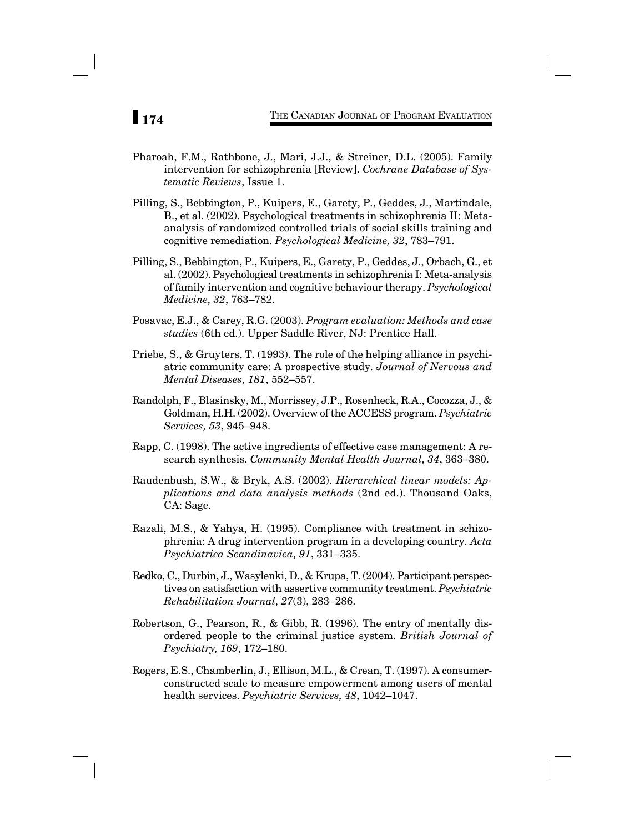- Pharoah, F.M., Rathbone, J., Mari, J.J., & Streiner, D.L. (2005). Family intervention for schizophrenia [Review]. *Cochrane Database of Systematic Reviews*, Issue 1.
- Pilling, S., Bebbington, P., Kuipers, E., Garety, P., Geddes, J., Martindale, B., et al. (2002). Psychological treatments in schizophrenia II: Metaanalysis of randomized controlled trials of social skills training and cognitive remediation. *Psychological Medicine, 32*, 783–791.
- Pilling, S., Bebbington, P., Kuipers, E., Garety, P., Geddes, J., Orbach, G., et al. (2002). Psychological treatments in schizophrenia I: Meta-analysis of family intervention and cognitive behaviour therapy. *Psychological Medicine, 32*, 763–782.
- Posavac, E.J., & Carey, R.G. (2003). *Program evaluation: Methods and case studies* (6th ed.). Upper Saddle River, NJ: Prentice Hall.
- Priebe, S., & Gruyters, T. (1993). The role of the helping alliance in psychiatric community care: A prospective study. *Journal of Nervous and Mental Diseases, 181*, 552–557.
- Randolph, F., Blasinsky, M., Morrissey, J.P., Rosenheck, R.A., Cocozza, J., & Goldman, H.H. (2002). Overview of the ACCESS program. *Psychiatric Services, 53*, 945–948.
- Rapp, C. (1998). The active ingredients of effective case management: A research synthesis. *Community Mental Health Journal, 34*, 363–380.
- Raudenbush, S.W., & Bryk, A.S. (2002). *Hierarchical linear models: Applications and data analysis methods* (2nd ed.). Thousand Oaks, CA: Sage.
- Razali, M.S., & Yahya, H. (1995). Compliance with treatment in schizophrenia: A drug intervention program in a developing country. *Acta Psychiatrica Scandinavica, 91*, 331–335.
- Redko, C., Durbin, J., Wasylenki, D., & Krupa, T. (2004). Participant perspectives on satisfaction with assertive community treatment. *Psychiatric Rehabilitation Journal, 27*(3), 283–286.
- Robertson, G., Pearson, R., & Gibb, R. (1996). The entry of mentally disordered people to the criminal justice system. *British Journal of Psychiatry, 169*, 172–180.
- Rogers, E.S., Chamberlin, J., Ellison, M.L., & Crean, T. (1997). A consumerconstructed scale to measure empowerment among users of mental health services. *Psychiatric Services, 48*, 1042–1047.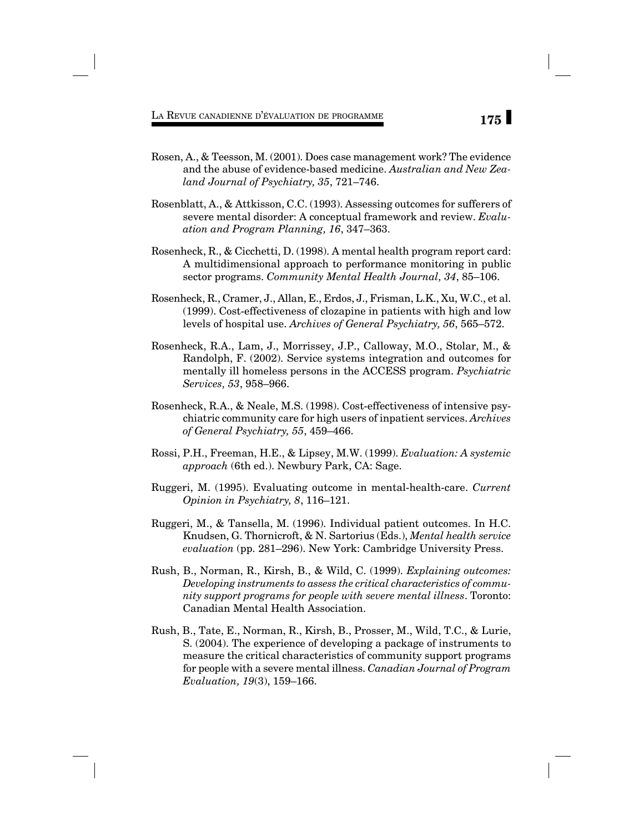- Rosen, A., & Teesson, M. (2001). Does case management work? The evidence and the abuse of evidence-based medicine. *Australian and New Zealand Journal of Psychiatry, 35*, 721–746.
- Rosenblatt, A., & Attkisson, C.C. (1993). Assessing outcomes for sufferers of severe mental disorder: A conceptual framework and review. *Evaluation and Program Planning, 16*, 347–363.
- Rosenheck, R., & Cicchetti, D. (1998). A mental health program report card: A multidimensional approach to performance monitoring in public sector programs. *Community Mental Health Journal, 34*, 85–106.
- Rosenheck, R., Cramer, J., Allan, E., Erdos, J., Frisman, L.K., Xu, W.C., et al. (1999). Cost-effectiveness of clozapine in patients with high and low levels of hospital use. *Archives of General Psychiatry, 56*, 565–572.
- Rosenheck, R.A., Lam, J., Morrissey, J.P., Calloway, M.O., Stolar, M., & Randolph, F. (2002). Service systems integration and outcomes for mentally ill homeless persons in the ACCESS program. *Psychiatric Services, 53*, 958–966.
- Rosenheck, R.A., & Neale, M.S. (1998). Cost-effectiveness of intensive psychiatric community care for high users of inpatient services. *Archives of General Psychiatry, 55*, 459–466.
- Rossi, P.H., Freeman, H.E., & Lipsey, M.W. (1999). *Evaluation: A systemic approach* (6th ed.). Newbury Park, CA: Sage.
- Ruggeri, M. (1995). Evaluating outcome in mental-health-care. *Current Opinion in Psychiatry, 8*, 116–121.
- Ruggeri, M., & Tansella, M. (1996). Individual patient outcomes. In H.C. Knudsen, G. Thornicroft, & N. Sartorius (Eds.), *Mental health service evaluation* (pp. 281–296). New York: Cambridge University Press.
- Rush, B., Norman, R., Kirsh, B., & Wild, C. (1999). *Explaining outcomes: Developing instruments to assess the critical characteristics of community support programs for people with severe mental illness*. Toronto: Canadian Mental Health Association.
- Rush, B., Tate, E., Norman, R., Kirsh, B., Prosser, M., Wild, T.C., & Lurie, S. (2004). The experience of developing a package of instruments to measure the critical characteristics of community support programs for people with a severe mental illness. *Canadian Journal of Program Evaluation, 19*(3), 159–166.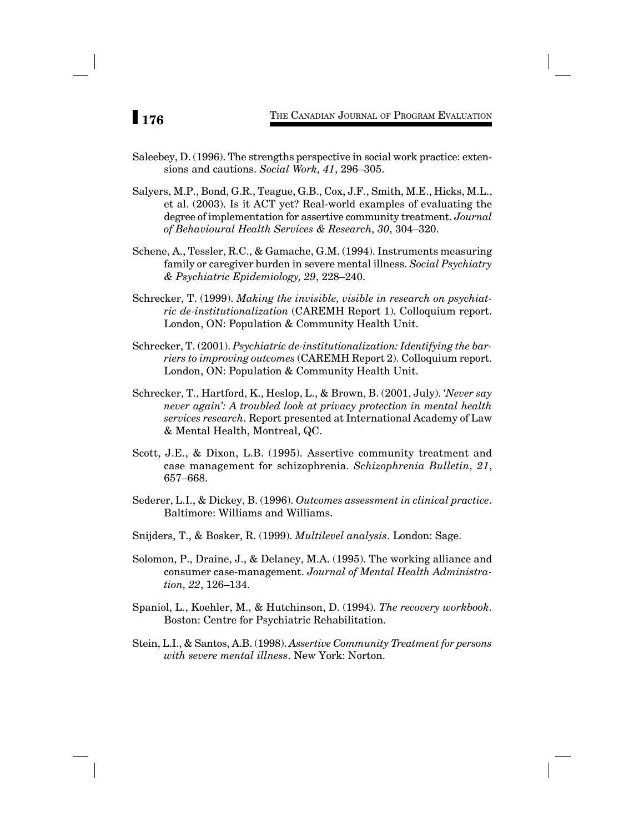- Saleebey, D. (1996). The strengths perspective in social work practice: extensions and cautions. *Social Work, 41*, 296–305.
- Salyers, M.P., Bond, G.R., Teague, G.B., Cox, J.F., Smith, M.E., Hicks, M.L., et al. (2003). Is it ACT yet? Real-world examples of evaluating the degree of implementation for assertive community treatment. *Journal of Behavioural Health Services & Research, 30*, 304–320.
- Schene, A., Tessler, R.C., & Gamache, G.M. (1994). Instruments measuring family or caregiver burden in severe mental illness. *Social Psychiatry & Psychiatric Epidemiology, 29*, 228–240.
- Schrecker, T. (1999). *Making the invisible, visible in research on psychiatric de-institutionalization* (CAREMH Report 1). Colloquium report. London, ON: Population & Community Health Unit.
- Schrecker, T. (2001). *Psychiatric de-institutionalization: Identifying the barriers to improving outcomes* (CAREMH Report 2). Colloquium report. London, ON: Population & Community Health Unit.
- Schrecker, T., Hartford, K., Heslop, L., & Brown, B. (2001, July). *'Never say never again': A troubled look at privacy protection in mental health services research*. Report presented at International Academy of Law & Mental Health, Montreal, QC.
- Scott, J.E., & Dixon, L.B. (1995). Assertive community treatment and case management for schizophrenia. *Schizophrenia Bulletin, 21*, 657–668.
- Sederer, L.I., & Dickey, B. (1996). *Outcomes assessment in clinical practice*. Baltimore: Williams and Williams.
- Snijders, T., & Bosker, R. (1999). *Multilevel analysis*. London: Sage.
- Solomon, P., Draine, J., & Delaney, M.A. (1995). The working alliance and consumer case-management. *Journal of Mental Health Administration, 22*, 126–134.
- Spaniol, L., Koehler, M., & Hutchinson, D. (1994). *The recovery workbook*. Boston: Centre for Psychiatric Rehabilitation.
- Stein, L.I., & Santos, A.B. (1998). *Assertive Community Treatment for persons with severe mental illness*. New York: Norton.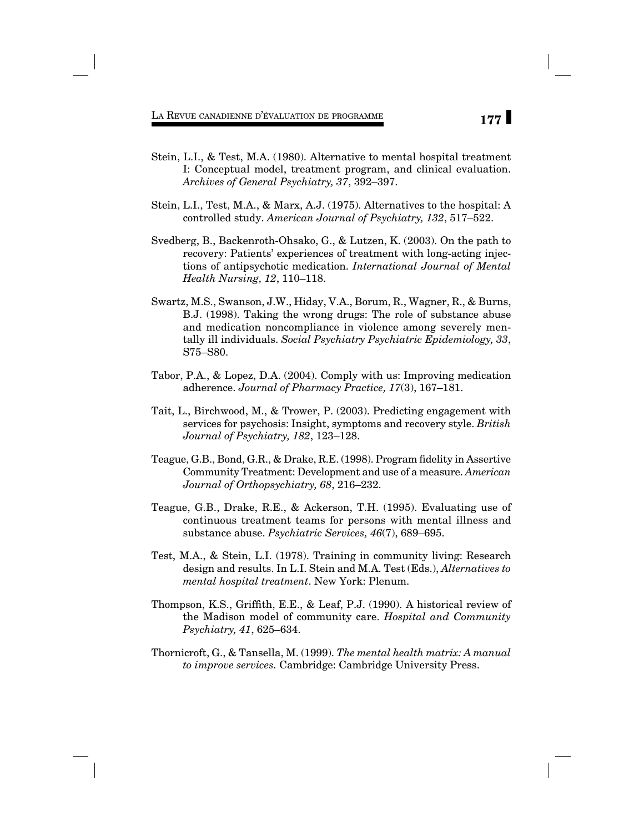- Stein, L.I., & Test, M.A. (1980). Alternative to mental hospital treatment I: Conceptual model, treatment program, and clinical evaluation. *Archives of General Psychiatry, 37*, 392–397.
- Stein, L.I., Test, M.A., & Marx, A.J. (1975). Alternatives to the hospital: A controlled study. *American Journal of Psychiatry, 132*, 517–522.
- Svedberg, B., Backenroth-Ohsako, G., & Lutzen, K. (2003). On the path to recovery: Patients' experiences of treatment with long-acting injections of antipsychotic medication. *International Journal of Mental Health Nursing, 12*, 110–118.
- Swartz, M.S., Swanson, J.W., Hiday, V.A., Borum, R., Wagner, R., & Burns, B.J. (1998). Taking the wrong drugs: The role of substance abuse and medication noncompliance in violence among severely mentally ill individuals. *Social Psychiatry Psychiatric Epidemiology, 33*, S75–S80.
- Tabor, P.A., & Lopez, D.A. (2004). Comply with us: Improving medication adherence. *Journal of Pharmacy Practice, 17*(3), 167–181.
- Tait, L., Birchwood, M., & Trower, P. (2003). Predicting engagement with services for psychosis: Insight, symptoms and recovery style. *British Journal of Psychiatry, 182*, 123–128.
- Teague, G.B., Bond, G.R., & Drake, R.E. (1998). Program fidelity in Assertive Community Treatment: Development and use of a measure. *American Journal of Orthopsychiatry, 68*, 216–232.
- Teague, G.B., Drake, R.E., & Ackerson, T.H. (1995). Evaluating use of continuous treatment teams for persons with mental illness and substance abuse. *Psychiatric Services, 46*(7), 689–695.
- Test, M.A., & Stein, L.I. (1978). Training in community living: Research design and results. In L.I. Stein and M.A. Test (Eds.), *Alternatives to mental hospital treatment*. New York: Plenum.
- Thompson, K.S., Griffith, E.E., & Leaf, P.J. (1990). A historical review of the Madison model of community care. *Hospital and Community Psychiatry, 41*, 625–634.
- Thornicroft, G., & Tansella, M. (1999). *The mental health matrix: A manual to improve services.* Cambridge: Cambridge University Press.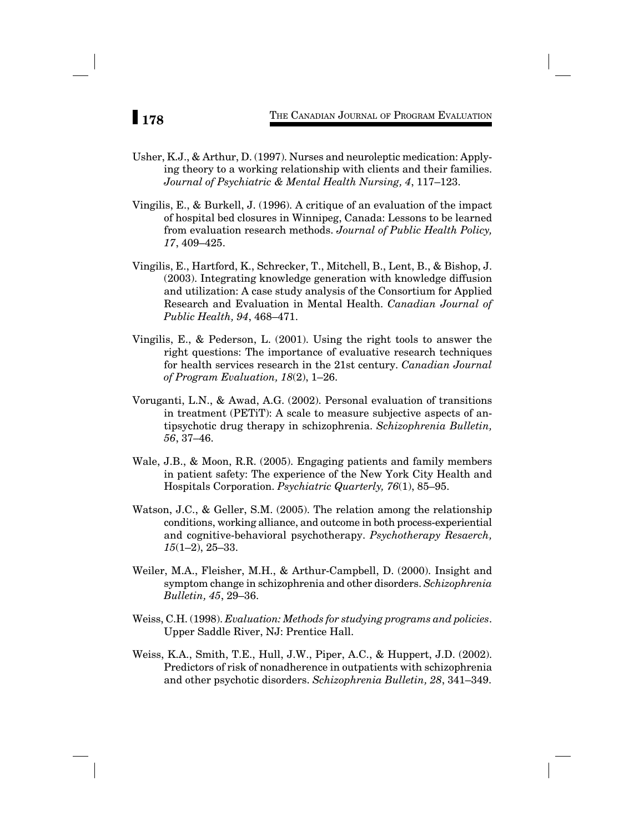- Usher, K.J., & Arthur, D. (1997). Nurses and neuroleptic medication: Applying theory to a working relationship with clients and their families. *Journal of Psychiatric & Mental Health Nursing, 4*, 117–123.
- Vingilis, E., & Burkell, J. (1996). A critique of an evaluation of the impact of hospital bed closures in Winnipeg, Canada: Lessons to be learned from evaluation research methods. *Journal of Public Health Policy, 17*, 409–425.
- Vingilis, E., Hartford, K., Schrecker, T., Mitchell, B., Lent, B., & Bishop, J. (2003). Integrating knowledge generation with knowledge diffusion and utilization: A case study analysis of the Consortium for Applied Research and Evaluation in Mental Health. *Canadian Journal of Public Health, 94*, 468–471.
- Vingilis, E., & Pederson, L. (2001). Using the right tools to answer the right questions: The importance of evaluative research techniques for health services research in the 21st century. *Canadian Journal of Program Evaluation, 18*(2), 1–26.
- Voruganti, L.N., & Awad, A.G. (2002). Personal evaluation of transitions in treatment (PETiT): A scale to measure subjective aspects of antipsychotic drug therapy in schizophrenia. *Schizophrenia Bulletin, 56*, 37–46.
- Wale, J.B., & Moon, R.R. (2005). Engaging patients and family members in patient safety: The experience of the New York City Health and Hospitals Corporation. *Psychiatric Quarterly, 76*(1), 85–95.
- Watson, J.C., & Geller, S.M. (2005). The relation among the relationship conditions, working alliance, and outcome in both process-experiential and cognitive-behavioral psychotherapy. *Psychotherapy Resaerch, 15*(1–2), 25–33.
- Weiler, M.A., Fleisher, M.H., & Arthur-Campbell, D. (2000). Insight and symptom change in schizophrenia and other disorders. *Schizophrenia Bulletin, 45*, 29–36.
- Weiss, C.H. (1998). *Evaluation: Methods for studying programs and policies*. Upper Saddle River, NJ: Prentice Hall.
- Weiss, K.A., Smith, T.E., Hull, J.W., Piper, A.C., & Huppert, J.D. (2002). Predictors of risk of nonadherence in outpatients with schizophrenia and other psychotic disorders. *Schizophrenia Bulletin, 28*, 341–349.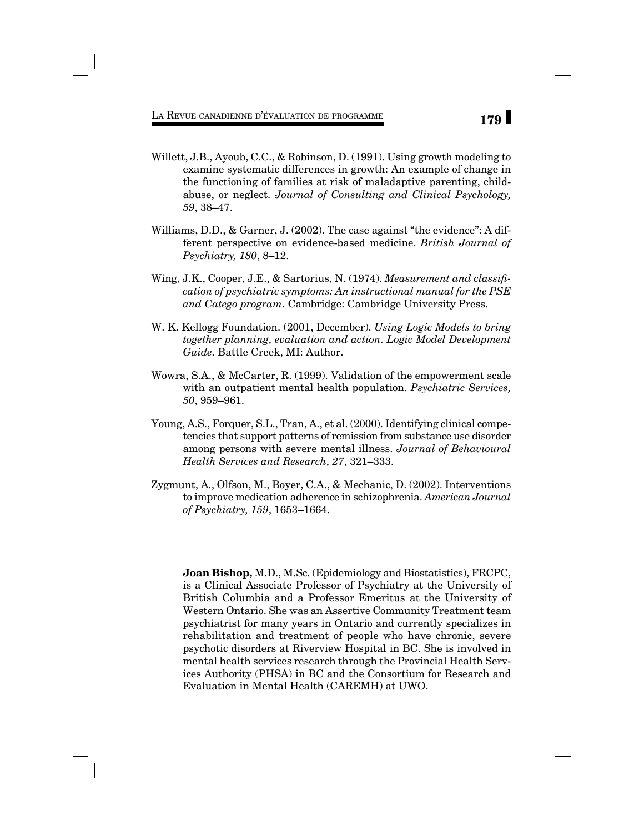- Willett, J.B., Ayoub, C.C., & Robinson, D. (1991). Using growth modeling to examine systematic differences in growth: An example of change in the functioning of families at risk of maladaptive parenting, childabuse, or neglect. *Journal of Consulting and Clinical Psychology, 59*, 38–47.
- Williams, D.D., & Garner, J. (2002). The case against "the evidence": A different perspective on evidence-based medicine. *British Journal of Psychiatry, 180*, 8–12.
- Wing, J.K., Cooper, J.E., & Sartorius, N. (1974). *Measurement and classifi cation of psychiatric symptoms: An instructional manual for the PSE and Catego program*. Cambridge: Cambridge University Press.
- W. K. Kellogg Foundation. (2001, December). *Using Logic Models to bring together planning, evaluation and action. Logic Model Development Guide.* Battle Creek, MI: Author.
- Wowra, S.A., & McCarter, R. (1999). Validation of the empowerment scale with an outpatient mental health population. *Psychiatric Services, 50*, 959–961.
- Young, A.S., Forquer, S.L., Tran, A., et al. (2000). Identifying clinical competencies that support patterns of remission from substance use disorder among persons with severe mental illness. *Journal of Behavioural Health Services and Research, 27*, 321–333.
- Zygmunt, A., Olfson, M., Boyer, C.A., & Mechanic, D. (2002). Interventions to improve medication adherence in schizophrenia. *American Journal of Psychiatry, 159*, 1653–1664.

**Joan Bishop,** M.D., M.Sc. (Epidemiology and Biostatistics), FRCPC, is a Clinical Associate Professor of Psychiatry at the University of British Columbia and a Professor Emeritus at the University of Western Ontario. She was an Assertive Community Treatment team psychiatrist for many years in Ontario and currently specializes in rehabilitation and treatment of people who have chronic, severe psychotic disorders at Riverview Hospital in BC. She is involved in mental health services research through the Provincial Health Services Authority (PHSA) in BC and the Consortium for Research and Evaluation in Mental Health (CAREMH) at UWO.